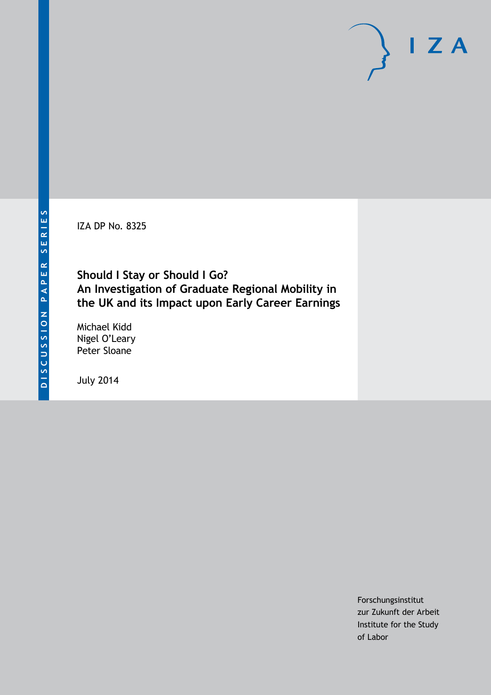IZA DP No. 8325

### **Should I Stay or Should I Go? An Investigation of Graduate Regional Mobility in the UK and its Impact upon Early Career Earnings**

Michael Kidd Nigel O'Leary Peter Sloane

July 2014

Forschungsinstitut zur Zukunft der Arbeit Institute for the Study of Labor

 $I Z A$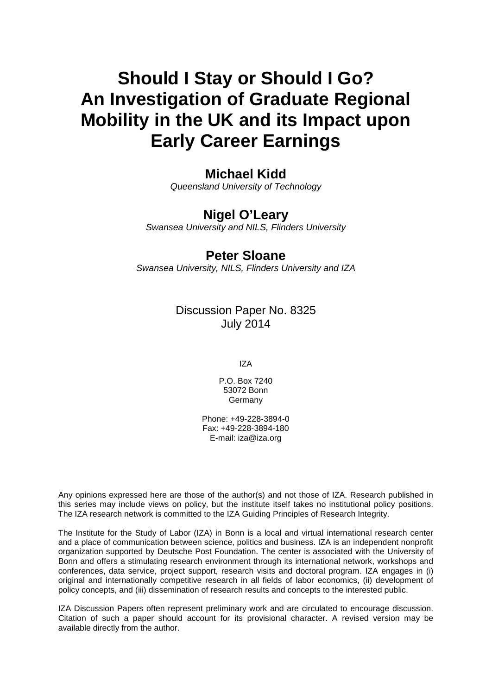# **Should I Stay or Should I Go? An Investigation of Graduate Regional Mobility in the UK and its Impact upon Early Career Earnings**

### **Michael Kidd**

*Queensland University of Technology*

### **Nigel O'Leary**

*Swansea University and NILS, Flinders University*

### **Peter Sloane**

*Swansea University, NILS, Flinders University and IZA*

### Discussion Paper No. 8325 July 2014

IZA

P.O. Box 7240 53072 Bonn Germany

Phone: +49-228-3894-0 Fax: +49-228-3894-180 E-mail: [iza@iza.org](mailto:iza@iza.org)

Any opinions expressed here are those of the author(s) and not those of IZA. Research published in this series may include views on policy, but the institute itself takes no institutional policy positions. The IZA research network is committed to the IZA Guiding Principles of Research Integrity.

The Institute for the Study of Labor (IZA) in Bonn is a local and virtual international research center and a place of communication between science, politics and business. IZA is an independent nonprofit organization supported by Deutsche Post Foundation. The center is associated with the University of Bonn and offers a stimulating research environment through its international network, workshops and conferences, data service, project support, research visits and doctoral program. IZA engages in (i) original and internationally competitive research in all fields of labor economics, (ii) development of policy concepts, and (iii) dissemination of research results and concepts to the interested public.

<span id="page-1-0"></span>IZA Discussion Papers often represent preliminary work and are circulated to encourage discussion. Citation of such a paper should account for its provisional character. A revised version may be available directly from the author.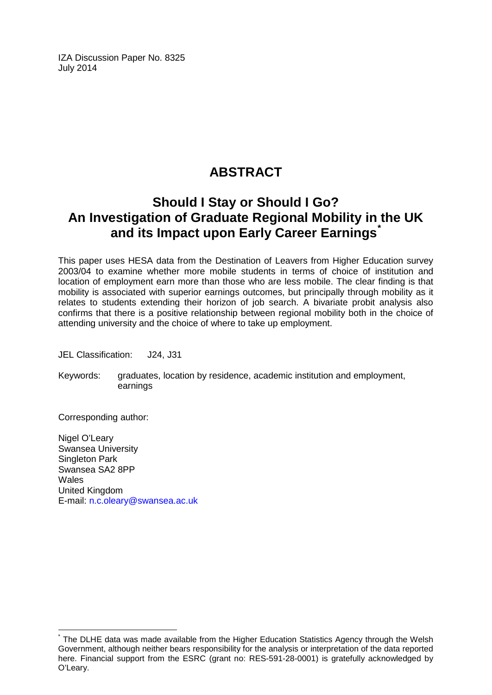IZA Discussion Paper No. 8325 July 2014

# **ABSTRACT**

## **Should I Stay or Should I Go? An Investigation of Graduate Regional Mobility in the UK and its Impact upon Early Career Earnings[\\*](#page-1-0)**

This paper uses HESA data from the Destination of Leavers from Higher Education survey 2003/04 to examine whether more mobile students in terms of choice of institution and location of employment earn more than those who are less mobile. The clear finding is that mobility is associated with superior earnings outcomes, but principally through mobility as it relates to students extending their horizon of job search. A bivariate probit analysis also confirms that there is a positive relationship between regional mobility both in the choice of attending university and the choice of where to take up employment.

JEL Classification: J24, J31

Keywords: graduates, location by residence, academic institution and employment, earnings

Corresponding author:

Nigel O'Leary Swansea University Singleton Park Swansea SA2 8PP **Wales** United Kingdom E-mail: [n.c.oleary@swansea.ac.uk](mailto:n.c.oleary@swansea.ac.uk)

The DLHE data was made available from the Higher Education Statistics Agency through the Welsh Government, although neither bears responsibility for the analysis or interpretation of the data reported here. Financial support from the ESRC (grant no: RES-591-28-0001) is gratefully acknowledged by O'Leary.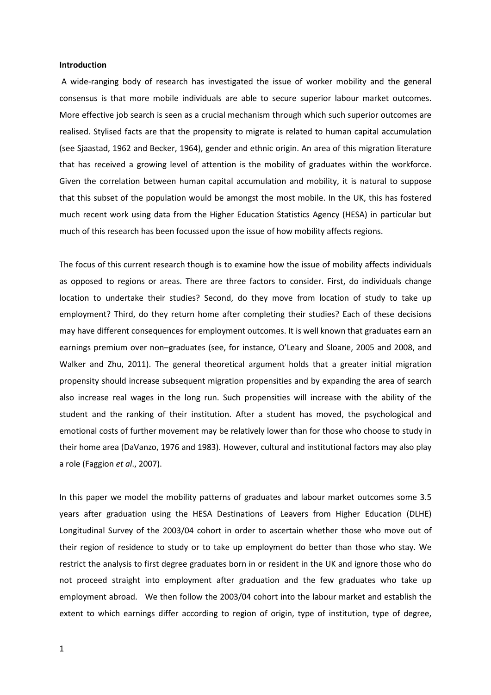#### **Introduction**

A wide-ranging body of research has investigated the issue of worker mobility and the general consensus is that more mobile individuals are able to secure superior labour market outcomes. More effective job search is seen as a crucial mechanism through which such superior outcomes are realised. Stylised facts are that the propensity to migrate is related to human capital accumulation (see Sjaastad, 1962 and Becker, 1964), gender and ethnic origin. An area of this migration literature that has received a growing level of attention is the mobility of graduates within the workforce. Given the correlation between human capital accumulation and mobility, it is natural to suppose that this subset of the population would be amongst the most mobile. In the UK, this has fostered much recent work using data from the Higher Education Statistics Agency (HESA) in particular but much of this research has been focussed upon the issue of how mobility affects regions.

The focus of this current research though is to examine how the issue of mobility affects individuals as opposed to regions or areas. There are three factors to consider. First, do individuals change location to undertake their studies? Second, do they move from location of study to take up employment? Third, do they return home after completing their studies? Each of these decisions may have different consequences for employment outcomes. It is well known that graduates earn an earnings premium over non–graduates (see, for instance, O'Leary and Sloane, 2005 and 2008, and Walker and Zhu, 2011). The general theoretical argument holds that a greater initial migration propensity should increase subsequent migration propensities and by expanding the area of search also increase real wages in the long run. Such propensities will increase with the ability of the student and the ranking of their institution. After a student has moved, the psychological and emotional costs of further movement may be relatively lower than for those who choose to study in their home area (DaVanzo, 1976 and 1983). However, cultural and institutional factors may also play a role (Faggion *et al*., 2007).

In this paper we model the mobility patterns of graduates and labour market outcomes some 3.5 years after graduation using the HESA Destinations of Leavers from Higher Education (DLHE) Longitudinal Survey of the 2003/04 cohort in order to ascertain whether those who move out of their region of residence to study or to take up employment do better than those who stay. We restrict the analysis to first degree graduates born in or resident in the UK and ignore those who do not proceed straight into employment after graduation and the few graduates who take up employment abroad. We then follow the 2003/04 cohort into the labour market and establish the extent to which earnings differ according to region of origin, type of institution, type of degree,

1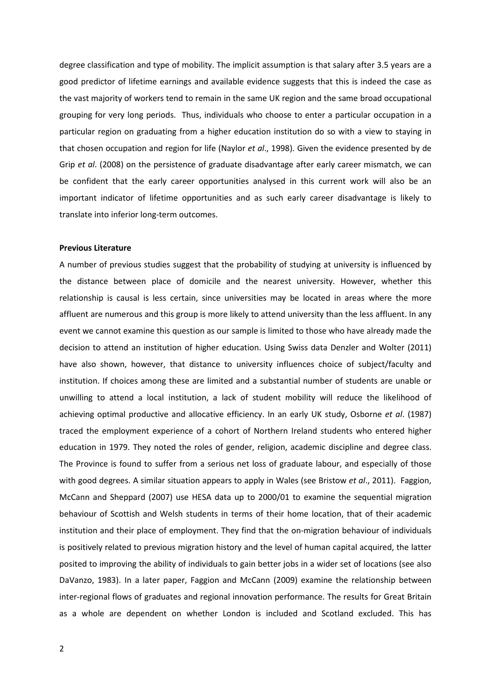degree classification and type of mobility. The implicit assumption is that salary after 3.5 years are a good predictor of lifetime earnings and available evidence suggests that this is indeed the case as the vast majority of workers tend to remain in the same UK region and the same broad occupational grouping for very long periods. Thus, individuals who choose to enter a particular occupation in a particular region on graduating from a higher education institution do so with a view to staying in that chosen occupation and region for life (Naylor *et al*., 1998). Given the evidence presented by de Grip *et al*. (2008) on the persistence of graduate disadvantage after early career mismatch, we can be confident that the early career opportunities analysed in this current work will also be an important indicator of lifetime opportunities and as such early career disadvantage is likely to translate into inferior long-term outcomes.

#### **Previous Literature**

A number of previous studies suggest that the probability of studying at university is influenced by the distance between place of domicile and the nearest university. However, whether this relationship is causal is less certain, since universities may be located in areas where the more affluent are numerous and this group is more likely to attend university than the less affluent. In any event we cannot examine this question as our sample is limited to those who have already made the decision to attend an institution of higher education. Using Swiss data Denzler and Wolter (2011) have also shown, however, that distance to university influences choice of subject/faculty and institution. If choices among these are limited and a substantial number of students are unable or unwilling to attend a local institution, a lack of student mobility will reduce the likelihood of achieving optimal productive and allocative efficiency. In an early UK study, Osborne *et al*. (1987) traced the employment experience of a cohort of Northern Ireland students who entered higher education in 1979. They noted the roles of gender, religion, academic discipline and degree class. The Province is found to suffer from a serious net loss of graduate labour, and especially of those with good degrees. A similar situation appears to apply in Wales (see Bristow *et al*., 2011). Faggion, McCann and Sheppard (2007) use HESA data up to 2000/01 to examine the sequential migration behaviour of Scottish and Welsh students in terms of their home location, that of their academic institution and their place of employment. They find that the on-migration behaviour of individuals is positively related to previous migration history and the level of human capital acquired, the latter posited to improving the ability of individuals to gain better jobs in a wider set of locations (see also DaVanzo, 1983). In a later paper, Faggion and McCann (2009) examine the relationship between inter-regional flows of graduates and regional innovation performance. The results for Great Britain as a whole are dependent on whether London is included and Scotland excluded. This has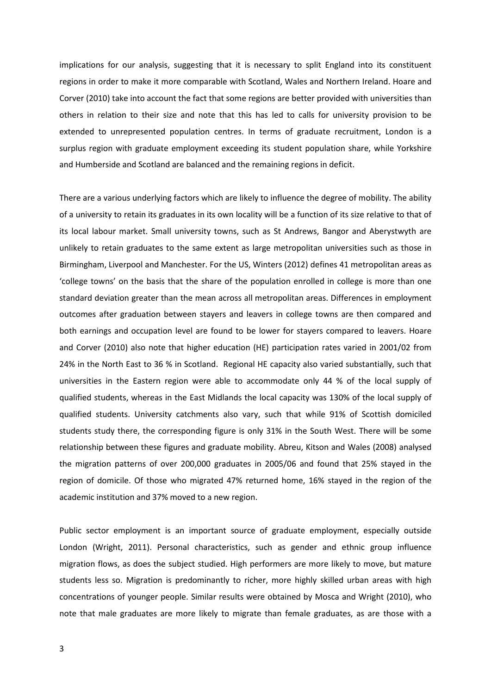implications for our analysis, suggesting that it is necessary to split England into its constituent regions in order to make it more comparable with Scotland, Wales and Northern Ireland. Hoare and Corver (2010) take into account the fact that some regions are better provided with universities than others in relation to their size and note that this has led to calls for university provision to be extended to unrepresented population centres. In terms of graduate recruitment, London is a surplus region with graduate employment exceeding its student population share, while Yorkshire and Humberside and Scotland are balanced and the remaining regions in deficit.

There are a various underlying factors which are likely to influence the degree of mobility. The ability of a university to retain its graduates in its own locality will be a function of its size relative to that of its local labour market. Small university towns, such as St Andrews, Bangor and Aberystwyth are unlikely to retain graduates to the same extent as large metropolitan universities such as those in Birmingham, Liverpool and Manchester. For the US, Winters (2012) defines 41 metropolitan areas as 'college towns' on the basis that the share of the population enrolled in college is more than one standard deviation greater than the mean across all metropolitan areas. Differences in employment outcomes after graduation between stayers and leavers in college towns are then compared and both earnings and occupation level are found to be lower for stayers compared to leavers. Hoare and Corver (2010) also note that higher education (HE) participation rates varied in 2001/02 from 24% in the North East to 36 % in Scotland. Regional HE capacity also varied substantially, such that universities in the Eastern region were able to accommodate only 44 % of the local supply of qualified students, whereas in the East Midlands the local capacity was 130% of the local supply of qualified students. University catchments also vary, such that while 91% of Scottish domiciled students study there, the corresponding figure is only 31% in the South West. There will be some relationship between these figures and graduate mobility. Abreu, Kitson and Wales (2008) analysed the migration patterns of over 200,000 graduates in 2005/06 and found that 25% stayed in the region of domicile. Of those who migrated 47% returned home, 16% stayed in the region of the academic institution and 37% moved to a new region.

Public sector employment is an important source of graduate employment, especially outside London (Wright, 2011). Personal characteristics, such as gender and ethnic group influence migration flows, as does the subject studied. High performers are more likely to move, but mature students less so. Migration is predominantly to richer, more highly skilled urban areas with high concentrations of younger people. Similar results were obtained by Mosca and Wright (2010), who note that male graduates are more likely to migrate than female graduates, as are those with a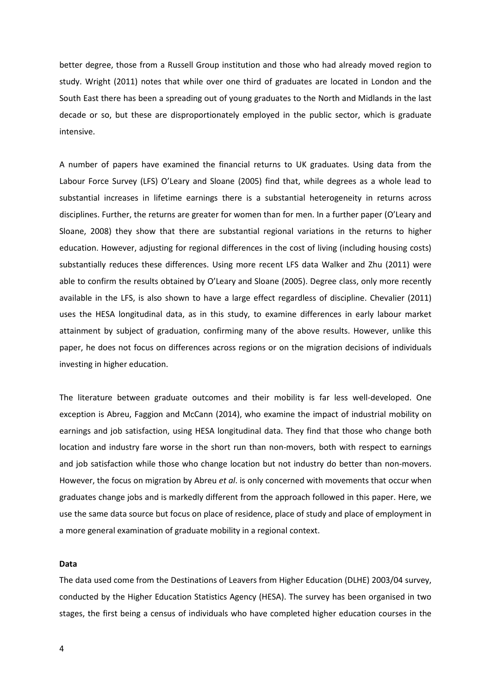better degree, those from a Russell Group institution and those who had already moved region to study. Wright (2011) notes that while over one third of graduates are located in London and the South East there has been a spreading out of young graduates to the North and Midlands in the last decade or so, but these are disproportionately employed in the public sector, which is graduate intensive.

A number of papers have examined the financial returns to UK graduates. Using data from the Labour Force Survey (LFS) O'Leary and Sloane (2005) find that, while degrees as a whole lead to substantial increases in lifetime earnings there is a substantial heterogeneity in returns across disciplines. Further, the returns are greater for women than for men. In a further paper (O'Leary and Sloane, 2008) they show that there are substantial regional variations in the returns to higher education. However, adjusting for regional differences in the cost of living (including housing costs) substantially reduces these differences. Using more recent LFS data Walker and Zhu (2011) were able to confirm the results obtained by O'Leary and Sloane (2005). Degree class, only more recently available in the LFS, is also shown to have a large effect regardless of discipline. Chevalier (2011) uses the HESA longitudinal data, as in this study, to examine differences in early labour market attainment by subject of graduation, confirming many of the above results. However, unlike this paper, he does not focus on differences across regions or on the migration decisions of individuals investing in higher education.

The literature between graduate outcomes and their mobility is far less well-developed. One exception is Abreu, Faggion and McCann (2014), who examine the impact of industrial mobility on earnings and job satisfaction, using HESA longitudinal data. They find that those who change both location and industry fare worse in the short run than non-movers, both with respect to earnings and job satisfaction while those who change location but not industry do better than non-movers. However, the focus on migration by Abreu *et al*. is only concerned with movements that occur when graduates change jobs and is markedly different from the approach followed in this paper. Here, we use the same data source but focus on place of residence, place of study and place of employment in a more general examination of graduate mobility in a regional context.

#### **Data**

The data used come from the Destinations of Leavers from Higher Education (DLHE) 2003/04 survey, conducted by the Higher Education Statistics Agency (HESA). The survey has been organised in two stages, the first being a census of individuals who have completed higher education courses in the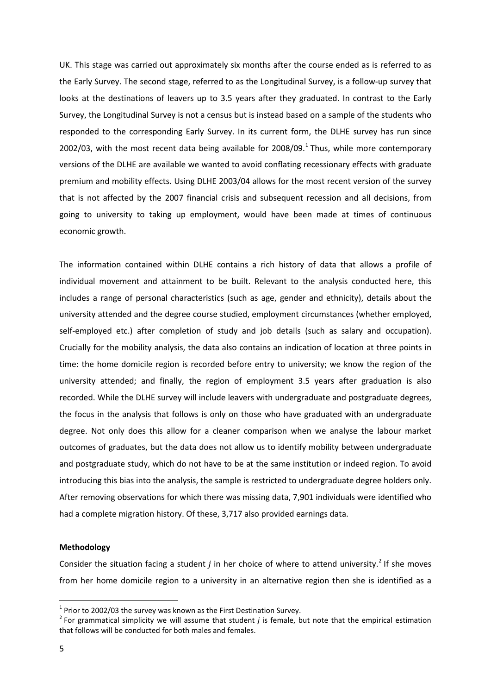UK. This stage was carried out approximately six months after the course ended as is referred to as the Early Survey. The second stage, referred to as the Longitudinal Survey, is a follow-up survey that looks at the destinations of leavers up to 3.5 years after they graduated. In contrast to the Early Survey, the Longitudinal Survey is not a census but is instead based on a sample of the students who responded to the corresponding Early Survey. In its current form, the DLHE survey has run since 2002/03, with the most recent data being available for 2008/09.<sup>1</sup> Thus, while more contemporary versions of the DLHE are available we wanted to avoid conflating recessionary effects with graduate premium and mobility effects. Using DLHE 2003/04 allows for the most recent version of the survey that is not affected by the 2007 financial crisis and subsequent recession and all decisions, from going to university to taking up employment, would have been made at times of continuous economic growth.

The information contained within DLHE contains a rich history of data that allows a profile of individual movement and attainment to be built. Relevant to the analysis conducted here, this includes a range of personal characteristics (such as age, gender and ethnicity), details about the university attended and the degree course studied, employment circumstances (whether employed, self-employed etc.) after completion of study and job details (such as salary and occupation). Crucially for the mobility analysis, the data also contains an indication of location at three points in time: the home domicile region is recorded before entry to university; we know the region of the university attended; and finally, the region of employment 3.5 years after graduation is also recorded. While the DLHE survey will include leavers with undergraduate and postgraduate degrees, the focus in the analysis that follows is only on those who have graduated with an undergraduate degree. Not only does this allow for a cleaner comparison when we analyse the labour market outcomes of graduates, but the data does not allow us to identify mobility between undergraduate and postgraduate study, which do not have to be at the same institution or indeed region. To avoid introducing this bias into the analysis, the sample is restricted to undergraduate degree holders only. After removing observations for which there was missing data, 7,901 individuals were identified who had a complete migration history. Of these, 3,717 also provided earnings data.

#### **Methodology**

<span id="page-7-1"></span>Consider the situation facing a student  $j$  in her choice of where to attend university.<sup>[2](#page-7-0)</sup> If she moves from her home domicile region to a university in an alternative region then she is identified as a

 $1$  Prior to 2002/03 the survey was known as the First Destination Survey.

<span id="page-7-0"></span><sup>2</sup> For grammatical simplicity we will assume that student *j* is female, but note that the empirical estimation that follows will be conducted for both males and females.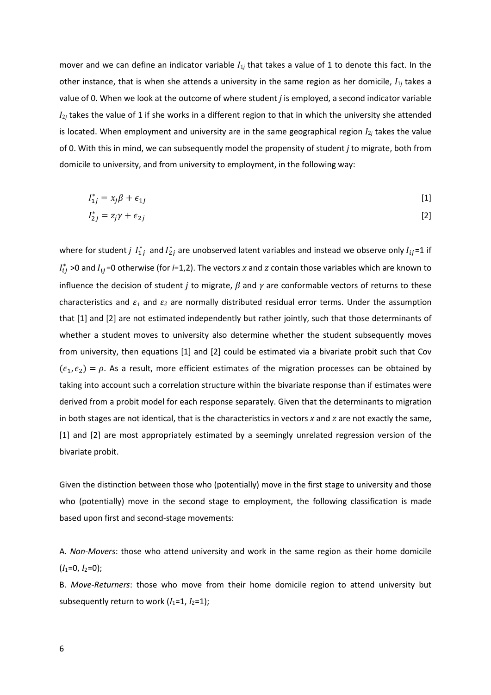mover and we can define an indicator variable  $I_{1j}$  that takes a value of 1 to denote this fact. In the other instance, that is when she attends a university in the same region as her domicile, *I*1*<sup>j</sup>* takes a value of 0. When we look at the outcome of where student *j* is employed, a second indicator variable *I*2*<sup>j</sup>* takes the value of 1 if she works in a different region to that in which the university she attended is located. When employment and university are in the same geographical region  $I_{2j}$  takes the value of 0. With this in mind, we can subsequently model the propensity of student *j* to migrate, both from domicile to university, and from university to employment, in the following way:

$$
I_{1j}^* = x_j \beta + \epsilon_{1j} \tag{1}
$$

$$
I_{2j}^* = z_j \gamma + \epsilon_{2j} \tag{2}
$$

where for student *j*  $I_{1j}^*$  and  $I_{2j}^*$  are unobserved latent variables and instead we observe only  $I_{ij}$ =1 if  $I_{ij}^*$  >0 and  $I_{ij}$ =0 otherwise (for *i*=1,2). The vectors *x* and *z* contain those variables which are known to influence the decision of student *j* to migrate, *β* and *γ* are conformable vectors of returns to these characteristics and *ε<sup>1</sup>* and *ε<sup>2</sup>* are normally distributed residual error terms. Under the assumption that [1] and [2] are not estimated independently but rather jointly, such that those determinants of whether a student moves to university also determine whether the student subsequently moves from university, then equations [1] and [2] could be estimated via a bivariate probit such that Cov  $(\epsilon_1, \epsilon_2) = \rho$ . As a result, more efficient estimates of the migration processes can be obtained by taking into account such a correlation structure within the bivariate response than if estimates were derived from a probit model for each response separately. Given that the determinants to migration in both stages are not identical, that is the characteristics in vectors *x* and *z* are not exactly the same, [1] and [2] are most appropriately estimated by a seemingly unrelated regression version of the bivariate probit.

Given the distinction between those who (potentially) move in the first stage to university and those who (potentially) move in the second stage to employment, the following classification is made based upon first and second-stage movements:

A. *Non-Movers*: those who attend university and work in the same region as their home domicile  $(I_1=0, I_2=0);$ 

B. *Move-Returners*: those who move from their home domicile region to attend university but subsequently return to work  $(I_1=1, I_2=1)$ ;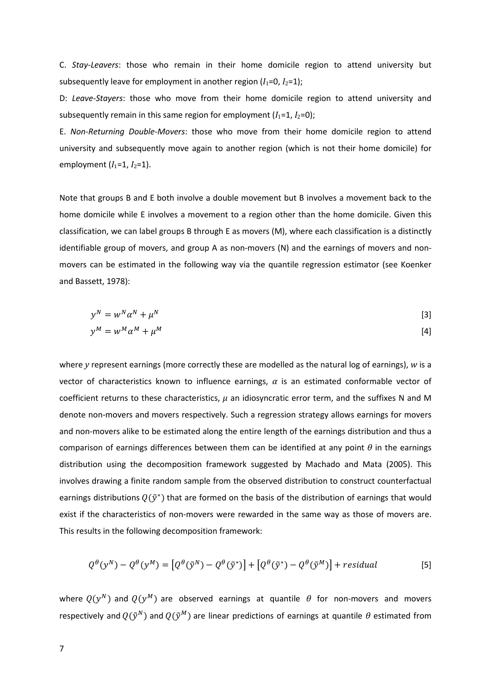C. *Stay-Leavers*: those who remain in their home domicile region to attend university but subsequently leave for employment in another region  $(I_1=0, I_2=1)$ ;

D: *Leave-Stayers*: those who move from their home domicile region to attend university and subsequently remain in this same region for employment  $(I_1=1, I_2=0)$ ;

E. *Non-Returning Double-Movers*: those who move from their home domicile region to attend university and subsequently move again to another region (which is not their home domicile) for employment  $(I_1=1, I_2=1)$ .

Note that groups B and E both involve a double movement but B involves a movement back to the home domicile while E involves a movement to a region other than the home domicile. Given this classification, we can label groups B through E as movers (M), where each classification is a distinctly identifiable group of movers, and group A as non-movers (N) and the earnings of movers and nonmovers can be estimated in the following way via the quantile regression estimator (see Koenker and Bassett, 1978):

$$
y^N = w^N \alpha^N + \mu^N \tag{3}
$$

$$
y^M = w^M \alpha^M + \mu^M \tag{4}
$$

where *y* represent earnings (more correctly these are modelled as the natural log of earnings), *w* is a vector of characteristics known to influence earnings, *α* is an estimated conformable vector of coefficient returns to these characteristics, *μ* an idiosyncratic error term, and the suffixes N and M denote non-movers and movers respectively. Such a regression strategy allows earnings for movers and non-movers alike to be estimated along the entire length of the earnings distribution and thus a comparison of earnings differences between them can be identified at any point *θ* in the earnings distribution using the decomposition framework suggested by Machado and Mata (2005). This involves drawing a finite random sample from the observed distribution to construct counterfactual earnings distributions  $Q(\tilde{y}^*)$  that are formed on the basis of the distribution of earnings that would exist if the characteristics of non-movers were rewarded in the same way as those of movers are. This results in the following decomposition framework:

$$
Q^{\theta}(y^N) - Q^{\theta}(y^M) = [Q^{\theta}(\tilde{y}^N) - Q^{\theta}(\tilde{y}^*)] + [Q^{\theta}(\tilde{y}^*) - Q^{\theta}(\tilde{y}^M)] + residual
$$
[5]

where  $Q(y^N)$  and  $Q(y^M)$  are observed earnings at quantile  $\theta$  for non-movers and movers respectively and  $Q(\tilde{y}^N)$  and  $Q(\tilde{y}^M)$  are linear predictions of earnings at quantile  $\theta$  estimated from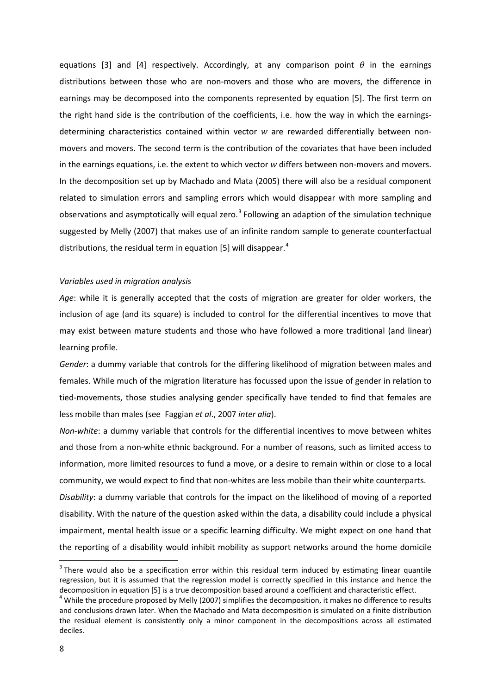equations [3] and [4] respectively. Accordingly, at any comparison point *θ* in the earnings distributions between those who are non-movers and those who are movers, the difference in earnings may be decomposed into the components represented by equation [5]. The first term on the right hand side is the contribution of the coefficients, i.e. how the way in which the earningsdetermining characteristics contained within vector *w* are rewarded differentially between nonmovers and movers. The second term is the contribution of the covariates that have been included in the earnings equations, i.e. the extent to which vector *w* differs between non-movers and movers. In the decomposition set up by Machado and Mata (2005) there will also be a residual component related to simulation errors and sampling errors which would disappear with more sampling and observations and asymptotically will equal zero.<sup>[3](#page-7-1)</sup> Following an adaption of the simulation technique suggested by Melly (2007) that makes use of an infinite random sample to generate counterfactual distributions, the residual term in equation [5] will disappear.<sup>[4](#page-10-0)</sup>

#### *Variables used in migration analysis*

*Age*: while it is generally accepted that the costs of migration are greater for older workers, the inclusion of age (and its square) is included to control for the differential incentives to move that may exist between mature students and those who have followed a more traditional (and linear) learning profile.

*Gender*: a dummy variable that controls for the differing likelihood of migration between males and females. While much of the migration literature has focussed upon the issue of gender in relation to tied-movements, those studies analysing gender specifically have tended to find that females are less mobile than males (see Faggian *et al*., 2007 *inter alia*).

*Non-white*: a dummy variable that controls for the differential incentives to move between whites and those from a non-white ethnic background. For a number of reasons, such as limited access to information, more limited resources to fund a move, or a desire to remain within or close to a local community, we would expect to find that non-whites are less mobile than their white counterparts.

*Disability*: a dummy variable that controls for the impact on the likelihood of moving of a reported disability. With the nature of the question asked within the data, a disability could include a physical impairment, mental health issue or a specific learning difficulty. We might expect on one hand that the reporting of a disability would inhibit mobility as support networks around the home domicile

<sup>&</sup>lt;sup>3</sup> There would also be a specification error within this residual term induced by estimating linear quantile regression, but it is assumed that the regression model is correctly specified in this instance and hence the decomposition in equation [5] is a true decomposition based around a coefficient and characteristic effect.<br><sup>4</sup> While the procedure proposed by Melly (2007) simplifies the decomposition, it makes no difference to results

<span id="page-10-1"></span><span id="page-10-0"></span>and conclusions drawn later. When the Machado and Mata decomposition is simulated on a finite distribution the residual element is consistently only a minor component in the decompositions across all estimated deciles.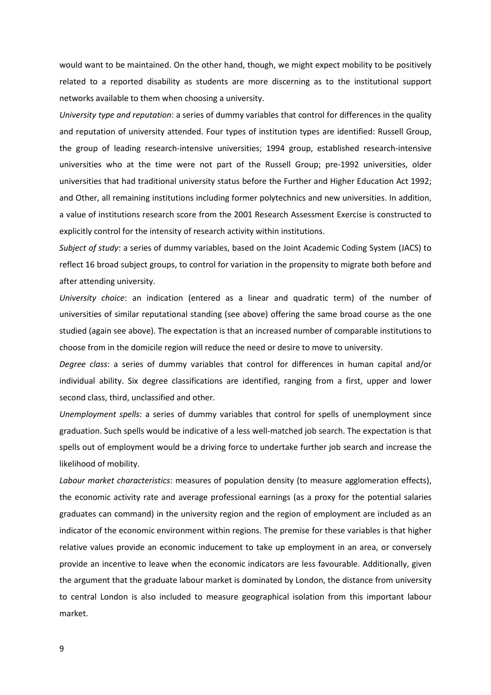would want to be maintained. On the other hand, though, we might expect mobility to be positively related to a reported disability as students are more discerning as to the institutional support networks available to them when choosing a university.

*University type and reputation*: a series of dummy variables that control for differences in the quality and reputation of university attended. Four types of institution types are identified: Russell Group, the group of leading research-intensive universities; 1994 group, established research-intensive universities who at the time were not part of the Russell Group; pre-1992 universities, older universities that had traditional university status before the Further and Higher Education Act 1992; and Other, all remaining institutions including former polytechnics and new universities. In addition, a value of institutions research score from the 2001 Research Assessment Exercise is constructed to explicitly control for the intensity of research activity within institutions.

*Subject of study*: a series of dummy variables, based on the Joint Academic Coding System (JACS) to reflect 16 broad subject groups, to control for variation in the propensity to migrate both before and after attending university.

*University choice*: an indication (entered as a linear and quadratic term) of the number of universities of similar reputational standing (see above) offering the same broad course as the one studied (again see above). The expectation is that an increased number of comparable institutions to choose from in the domicile region will reduce the need or desire to move to university.

*Degree class*: a series of dummy variables that control for differences in human capital and/or individual ability. Six degree classifications are identified, ranging from a first, upper and lower second class, third, unclassified and other.

*Unemployment spells*: a series of dummy variables that control for spells of unemployment since graduation. Such spells would be indicative of a less well-matched job search. The expectation is that spells out of employment would be a driving force to undertake further job search and increase the likelihood of mobility.

*Labour market characteristics*: measures of population density (to measure agglomeration effects), the economic activity rate and average professional earnings (as a proxy for the potential salaries graduates can command) in the university region and the region of employment are included as an indicator of the economic environment within regions. The premise for these variables is that higher relative values provide an economic inducement to take up employment in an area, or conversely provide an incentive to leave when the economic indicators are less favourable. Additionally, given the argument that the graduate labour market is dominated by London, the distance from university to central London is also included to measure geographical isolation from this important labour market.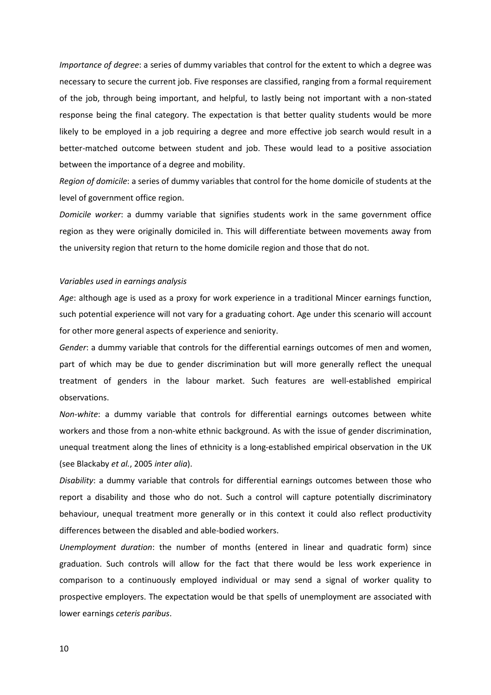*Importance of degree*: a series of dummy variables that control for the extent to which a degree was necessary to secure the current job. Five responses are classified, ranging from a formal requirement of the job, through being important, and helpful, to lastly being not important with a non-stated response being the final category. The expectation is that better quality students would be more likely to be employed in a job requiring a degree and more effective job search would result in a better-matched outcome between student and job. These would lead to a positive association between the importance of a degree and mobility.

*Region of domicile*: a series of dummy variables that control for the home domicile of students at the level of government office region.

*Domicile worker*: a dummy variable that signifies students work in the same government office region as they were originally domiciled in. This will differentiate between movements away from the university region that return to the home domicile region and those that do not.

#### *Variables used in earnings analysis*

*Age*: although age is used as a proxy for work experience in a traditional Mincer earnings function, such potential experience will not vary for a graduating cohort. Age under this scenario will account for other more general aspects of experience and seniority.

*Gender*: a dummy variable that controls for the differential earnings outcomes of men and women, part of which may be due to gender discrimination but will more generally reflect the unequal treatment of genders in the labour market. Such features are well-established empirical observations.

*Non-white*: a dummy variable that controls for differential earnings outcomes between white workers and those from a non-white ethnic background. As with the issue of gender discrimination, unequal treatment along the lines of ethnicity is a long-established empirical observation in the UK (see Blackaby *et al.*, 2005 *inter alia*).

*Disability*: a dummy variable that controls for differential earnings outcomes between those who report a disability and those who do not. Such a control will capture potentially discriminatory behaviour, unequal treatment more generally or in this context it could also reflect productivity differences between the disabled and able-bodied workers.

*Unemployment duration*: the number of months (entered in linear and quadratic form) since graduation. Such controls will allow for the fact that there would be less work experience in comparison to a continuously employed individual or may send a signal of worker quality to prospective employers. The expectation would be that spells of unemployment are associated with lower earnings *ceteris paribus*.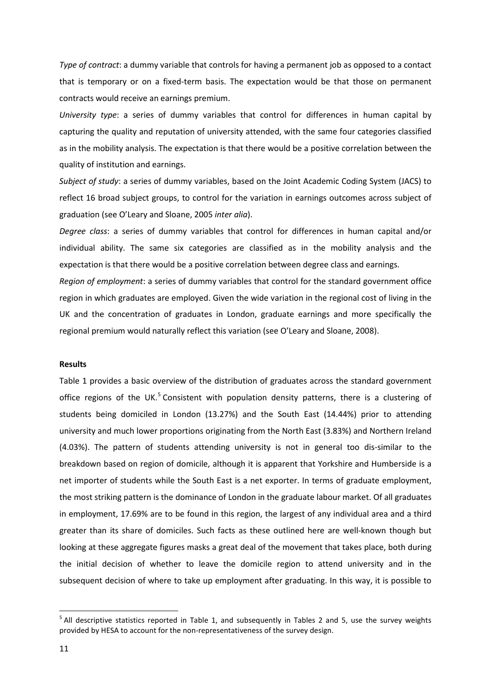*Type of contract*: a dummy variable that controls for having a permanent job as opposed to a contact that is temporary or on a fixed-term basis. The expectation would be that those on permanent contracts would receive an earnings premium.

*University type*: a series of dummy variables that control for differences in human capital by capturing the quality and reputation of university attended, with the same four categories classified as in the mobility analysis. The expectation is that there would be a positive correlation between the quality of institution and earnings.

*Subject of study*: a series of dummy variables, based on the Joint Academic Coding System (JACS) to reflect 16 broad subject groups, to control for the variation in earnings outcomes across subject of graduation (see O'Leary and Sloane, 2005 *inter alia*).

*Degree class*: a series of dummy variables that control for differences in human capital and/or individual ability. The same six categories are classified as in the mobility analysis and the expectation is that there would be a positive correlation between degree class and earnings.

*Region of employment*: a series of dummy variables that control for the standard government office region in which graduates are employed. Given the wide variation in the regional cost of living in the UK and the concentration of graduates in London, graduate earnings and more specifically the regional premium would naturally reflect this variation (see O'Leary and Sloane, 2008).

#### **Results**

<span id="page-13-0"></span>Table 1 provides a basic overview of the distribution of graduates across the standard government office regions of the UK.<sup>[5](#page-10-1)</sup> Consistent with population density patterns, there is a clustering of students being domiciled in London (13.27%) and the South East (14.44%) prior to attending university and much lower proportions originating from the North East (3.83%) and Northern Ireland (4.03%). The pattern of students attending university is not in general too dis-similar to the breakdown based on region of domicile, although it is apparent that Yorkshire and Humberside is a net importer of students while the South East is a net exporter. In terms of graduate employment, the most striking pattern is the dominance of London in the graduate labour market. Of all graduates in employment, 17.69% are to be found in this region, the largest of any individual area and a third greater than its share of domiciles. Such facts as these outlined here are well-known though but looking at these aggregate figures masks a great deal of the movement that takes place, both during the initial decision of whether to leave the domicile region to attend university and in the subsequent decision of where to take up employment after graduating. In this way, it is possible to

<sup>&</sup>lt;sup>5</sup> All descriptive statistics reported in Table 1, and subsequently in Tables 2 and 5, use the survey weights provided by HESA to account for the non-representativeness of the survey design.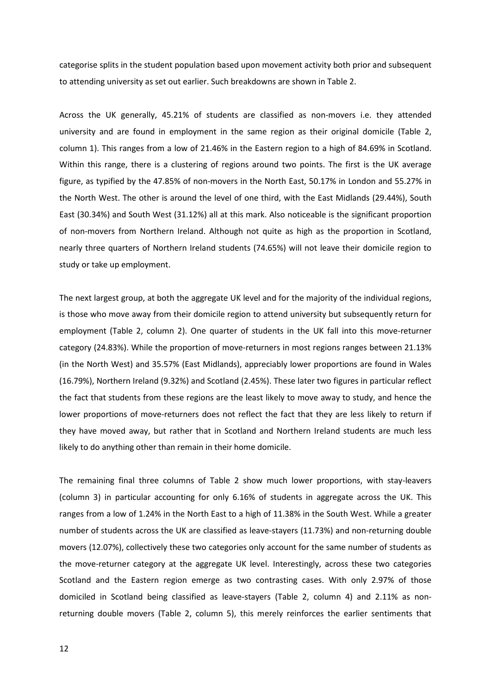categorise splits in the student population based upon movement activity both prior and subsequent to attending university as set out earlier. Such breakdowns are shown in Table 2.

Across the UK generally, 45.21% of students are classified as non-movers i.e. they attended university and are found in employment in the same region as their original domicile (Table 2, column 1). This ranges from a low of 21.46% in the Eastern region to a high of 84.69% in Scotland. Within this range, there is a clustering of regions around two points. The first is the UK average figure, as typified by the 47.85% of non-movers in the North East, 50.17% in London and 55.27% in the North West. The other is around the level of one third, with the East Midlands (29.44%), South East (30.34%) and South West (31.12%) all at this mark. Also noticeable is the significant proportion of non-movers from Northern Ireland. Although not quite as high as the proportion in Scotland, nearly three quarters of Northern Ireland students (74.65%) will not leave their domicile region to study or take up employment.

The next largest group, at both the aggregate UK level and for the majority of the individual regions, is those who move away from their domicile region to attend university but subsequently return for employment (Table 2, column 2). One quarter of students in the UK fall into this move-returner category (24.83%). While the proportion of move-returners in most regions ranges between 21.13% (in the North West) and 35.57% (East Midlands), appreciably lower proportions are found in Wales (16.79%), Northern Ireland (9.32%) and Scotland (2.45%). These later two figures in particular reflect the fact that students from these regions are the least likely to move away to study, and hence the lower proportions of move-returners does not reflect the fact that they are less likely to return if they have moved away, but rather that in Scotland and Northern Ireland students are much less likely to do anything other than remain in their home domicile.

The remaining final three columns of Table 2 show much lower proportions, with stay-leavers (column 3) in particular accounting for only 6.16% of students in aggregate across the UK. This ranges from a low of 1.24% in the North East to a high of 11.38% in the South West. While a greater number of students across the UK are classified as leave-stayers (11.73%) and non-returning double movers (12.07%), collectively these two categories only account for the same number of students as the move-returner category at the aggregate UK level. Interestingly, across these two categories Scotland and the Eastern region emerge as two contrasting cases. With only 2.97% of those domiciled in Scotland being classified as leave-stayers (Table 2, column 4) and 2.11% as nonreturning double movers (Table 2, column 5), this merely reinforces the earlier sentiments that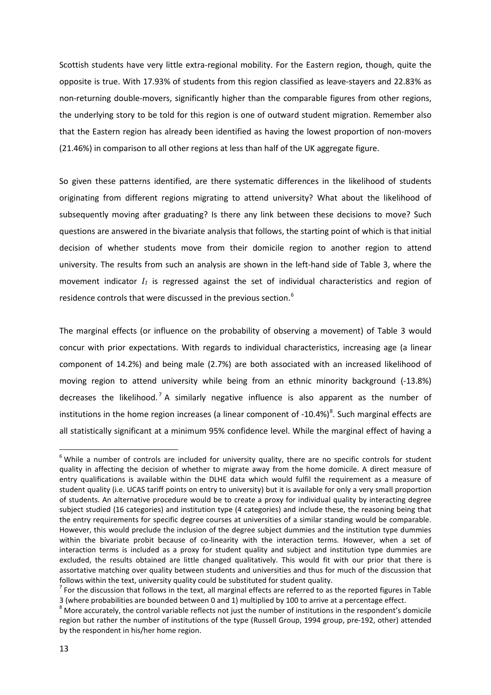Scottish students have very little extra-regional mobility. For the Eastern region, though, quite the opposite is true. With 17.93% of students from this region classified as leave-stayers and 22.83% as non-returning double-movers, significantly higher than the comparable figures from other regions, the underlying story to be told for this region is one of outward student migration. Remember also that the Eastern region has already been identified as having the lowest proportion of non-movers (21.46%) in comparison to all other regions at less than half of the UK aggregate figure.

So given these patterns identified, are there systematic differences in the likelihood of students originating from different regions migrating to attend university? What about the likelihood of subsequently moving after graduating? Is there any link between these decisions to move? Such questions are answered in the bivariate analysis that follows, the starting point of which is that initial decision of whether students move from their domicile region to another region to attend university. The results from such an analysis are shown in the left-hand side of Table 3, where the movement indicator *I1* is regressed against the set of individual characteristics and region of residence controls that were discussed in the previous section.<sup>[6](#page-13-0)</sup>

The marginal effects (or influence on the probability of observing a movement) of Table 3 would concur with prior expectations. With regards to individual characteristics, increasing age (a linear component of 14.2%) and being male (2.7%) are both associated with an increased likelihood of moving region to attend university while being from an ethnic minority background (-13.8%) decreases the likelihood.<sup>[7](#page-15-0)</sup> A similarly negative influence is also apparent as the number of institutions in the home region increases (a linear component of -10.4%)<sup>[8](#page-15-1)</sup>. Such marginal effects are all statistically significant at a minimum 95% confidence level. While the marginal effect of having a

 $6$  While a number of controls are included for university quality, there are no specific controls for student quality in affecting the decision of whether to migrate away from the home domicile. A direct measure of entry qualifications is available within the DLHE data which would fulfil the requirement as a measure of student quality (i.e. UCAS tariff points on entry to university) but it is available for only a very small proportion of students. An alternative procedure would be to create a proxy for individual quality by interacting degree subject studied (16 categories) and institution type (4 categories) and include these, the reasoning being that the entry requirements for specific degree courses at universities of a similar standing would be comparable. However, this would preclude the inclusion of the degree subject dummies and the institution type dummies within the bivariate probit because of co-linearity with the interaction terms. However, when a set of interaction terms is included as a proxy for student quality and subject and institution type dummies are excluded, the results obtained are little changed qualitatively. This would fit with our prior that there is assortative matching over quality between students and universities and thus for much of the discussion that follows within the text, university quality could be substituted for student quality.<br><sup>7</sup> For the discussion that follows in the text, all marginal effects are referred to as the reported figures in Table

<span id="page-15-0"></span><sup>3 (</sup>where probabilities are bounded between 0 and 1) multiplied by 100 to arrive at a percentage effect.  $8$  More accurately, the control variable reflects not just the number of institutions in the respondent's domicile

<span id="page-15-1"></span>region but rather the number of institutions of the type (Russell Group, 1994 group, pre-192, other) attended by the respondent in his/her home region.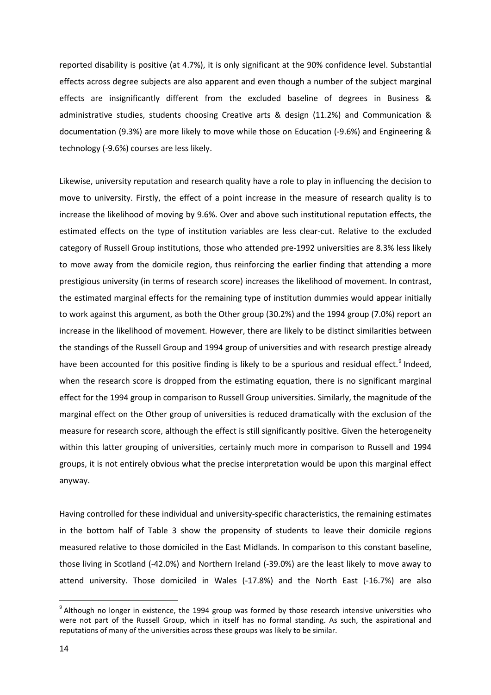reported disability is positive (at 4.7%), it is only significant at the 90% confidence level. Substantial effects across degree subjects are also apparent and even though a number of the subject marginal effects are insignificantly different from the excluded baseline of degrees in Business & administrative studies, students choosing Creative arts & design (11.2%) and Communication & documentation (9.3%) are more likely to move while those on Education (-9.6%) and Engineering & technology (-9.6%) courses are less likely.

Likewise, university reputation and research quality have a role to play in influencing the decision to move to university. Firstly, the effect of a point increase in the measure of research quality is to increase the likelihood of moving by 9.6%. Over and above such institutional reputation effects, the estimated effects on the type of institution variables are less clear-cut. Relative to the excluded category of Russell Group institutions, those who attended pre-1992 universities are 8.3% less likely to move away from the domicile region, thus reinforcing the earlier finding that attending a more prestigious university (in terms of research score) increases the likelihood of movement. In contrast, the estimated marginal effects for the remaining type of institution dummies would appear initially to work against this argument, as both the Other group (30.2%) and the 1994 group (7.0%) report an increase in the likelihood of movement. However, there are likely to be distinct similarities between the standings of the Russell Group and 1994 group of universities and with research prestige already have been accounted for this positive finding is likely to be a spurious and residual effect.<sup>[9](#page-15-1)</sup> Indeed, when the research score is dropped from the estimating equation, there is no significant marginal effect for the 1994 group in comparison to Russell Group universities. Similarly, the magnitude of the marginal effect on the Other group of universities is reduced dramatically with the exclusion of the measure for research score, although the effect is still significantly positive. Given the heterogeneity within this latter grouping of universities, certainly much more in comparison to Russell and 1994 groups, it is not entirely obvious what the precise interpretation would be upon this marginal effect anyway.

Having controlled for these individual and university-specific characteristics, the remaining estimates in the bottom half of Table 3 show the propensity of students to leave their domicile regions measured relative to those domiciled in the East Midlands. In comparison to this constant baseline, those living in Scotland (-42.0%) and Northern Ireland (-39.0%) are the least likely to move away to attend university. Those domiciled in Wales (-17.8%) and the North East (-16.7%) are also

<span id="page-16-0"></span> $9$  Although no longer in existence, the 1994 group was formed by those research intensive universities who were not part of the Russell Group, which in itself has no formal standing. As such, the aspirational and reputations of many of the universities across these groups was likely to be similar.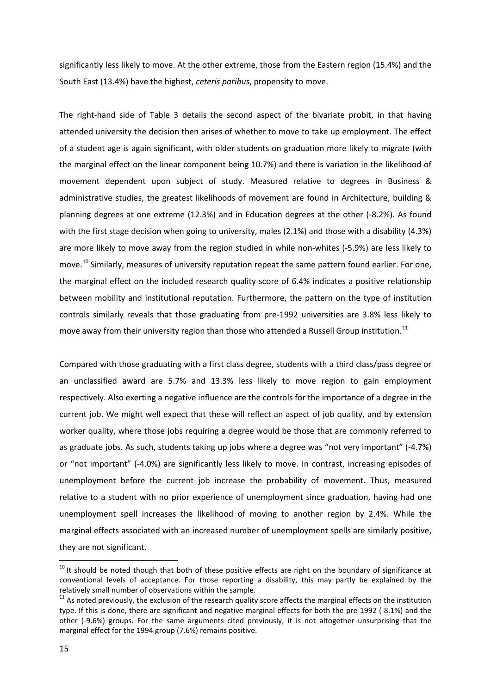significantly less likely to move. At the other extreme, those from the Eastern region (15.4%) and the South East (13.4%) have the highest, *ceteris paribus*, propensity to move.

The right-hand side of Table 3 details the second aspect of the bivariate probit, in that having attended university the decision then arises of whether to move to take up employment. The effect of a student age is again significant, with older students on graduation more likely to migrate (with the marginal effect on the linear component being 10.7%) and there is variation in the likelihood of movement dependent upon subject of study. Measured relative to degrees in Business & administrative studies, the greatest likelihoods of movement are found in Architecture, building & planning degrees at one extreme (12.3%) and in Education degrees at the other (-8.2%). As found with the first stage decision when going to university, males (2.1%) and those with a disability (4.3%) are more likely to move away from the region studied in while non-whites (-5.9%) are less likely to move.<sup>[10](#page-16-0)</sup> Similarly, measures of university reputation repeat the same pattern found earlier. For one, the marginal effect on the included research quality score of 6.4% indicates a positive relationship between mobility and institutional reputation. Furthermore, the pattern on the type of institution controls similarly reveals that those graduating from pre-1992 universities are 3.8% less likely to move away from their university region than those who attended a Russell Group institution.<sup>[11](#page-17-0)</sup>

Compared with those graduating with a first class degree, students with a third class/pass degree or an unclassified award are 5.7% and 13.3% less likely to move region to gain employment respectively. Also exerting a negative influence are the controls for the importance of a degree in the current job. We might well expect that these will reflect an aspect of job quality, and by extension worker quality, where those jobs requiring a degree would be those that are commonly referred to as graduate jobs. As such, students taking up jobs where a degree was "not very important" (-4.7%) or "not important" (-4.0%) are significantly less likely to move. In contrast, increasing episodes of unemployment before the current job increase the probability of movement. Thus, measured relative to a student with no prior experience of unemployment since graduation, having had one unemployment spell increases the likelihood of moving to another region by 2.4%. While the marginal effects associated with an increased number of unemployment spells are similarly positive, they are not significant.

<span id="page-17-1"></span> $10$  It should be noted though that both of these positive effects are right on the boundary of significance at conventional levels of acceptance. For those reporting a disability, this may partly be explained by the relatively small number of observations within the sample.

<span id="page-17-0"></span> $11$  As noted previously, the exclusion of the research quality score affects the marginal effects on the institution type. If this is done, there are significant and negative marginal effects for both the pre-1992 (-8.1%) and the other (-9.6%) groups. For the same arguments cited previously, it is not altogether unsurprising that the marginal effect for the 1994 group (7.6%) remains positive.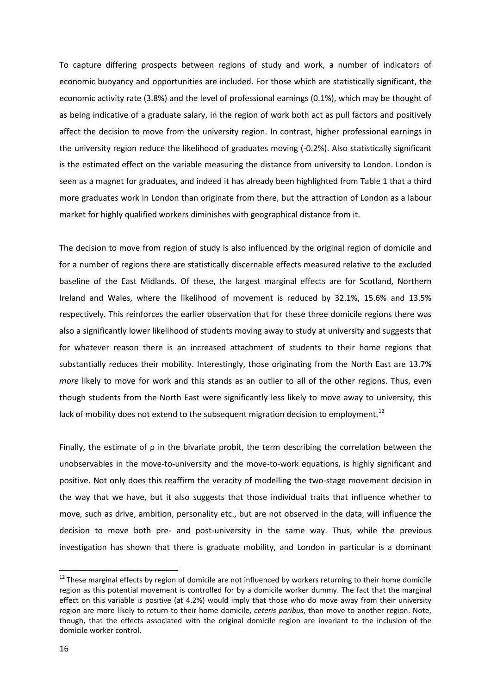To capture differing prospects between regions of study and work, a number of indicators of economic buoyancy and opportunities are included. For those which are statistically significant, the economic activity rate (3.8%) and the level of professional earnings (0.1%), which may be thought of as being indicative of a graduate salary, in the region of work both act as pull factors and positively affect the decision to move from the university region. In contrast, higher professional earnings in the university region reduce the likelihood of graduates moving (-0.2%). Also statistically significant is the estimated effect on the variable measuring the distance from university to London. London is seen as a magnet for graduates, and indeed it has already been highlighted from Table 1 that a third more graduates work in London than originate from there, but the attraction of London as a labour market for highly qualified workers diminishes with geographical distance from it.

The decision to move from region of study is also influenced by the original region of domicile and for a number of regions there are statistically discernable effects measured relative to the excluded baseline of the East Midlands. Of these, the largest marginal effects are for Scotland, Northern Ireland and Wales, where the likelihood of movement is reduced by 32.1%, 15.6% and 13.5% respectively. This reinforces the earlier observation that for these three domicile regions there was also a significantly lower likelihood of students moving away to study at university and suggests that for whatever reason there is an increased attachment of students to their home regions that substantially reduces their mobility. Interestingly, those originating from the North East are 13.7% *more* likely to move for work and this stands as an outlier to all of the other regions. Thus, even though students from the North East were significantly less likely to move away to university, this lack of mobility does not extend to the subsequent migration decision to employment.<sup>[12](#page-17-1)</sup>

Finally, the estimate of  $\rho$  in the bivariate probit, the term describing the correlation between the unobservables in the move-to-university and the move-to-work equations, is highly significant and positive. Not only does this reaffirm the veracity of modelling the two-stage movement decision in the way that we have, but it also suggests that those individual traits that influence whether to move, such as drive, ambition, personality etc., but are not observed in the data, will influence the decision to move both pre- and post-university in the same way. Thus, while the previous investigation has shown that there is graduate mobility, and London in particular is a dominant

<span id="page-18-0"></span><sup>&</sup>lt;sup>12</sup> These marginal effects by region of domicile are not influenced by workers returning to their home domicile region as this potential movement is controlled for by a domicile worker dummy. The fact that the marginal effect on this variable is positive (at 4.2%) would imply that those who do move away from their university region are more likely to return to their home domicile, *ceteris paribus*, than move to another region. Note, though, that the effects associated with the original domicile region are invariant to the inclusion of the domicile worker control.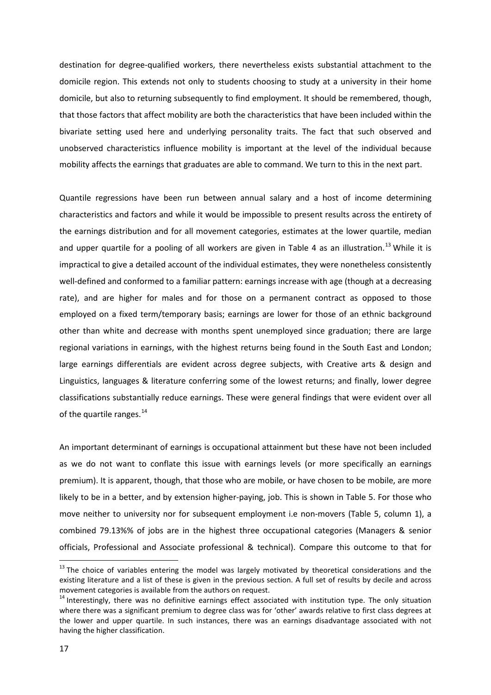destination for degree-qualified workers, there nevertheless exists substantial attachment to the domicile region. This extends not only to students choosing to study at a university in their home domicile, but also to returning subsequently to find employment. It should be remembered, though, that those factors that affect mobility are both the characteristics that have been included within the bivariate setting used here and underlying personality traits. The fact that such observed and unobserved characteristics influence mobility is important at the level of the individual because mobility affects the earnings that graduates are able to command. We turn to this in the next part.

Quantile regressions have been run between annual salary and a host of income determining characteristics and factors and while it would be impossible to present results across the entirety of the earnings distribution and for all movement categories, estimates at the lower quartile, median and upper quartile for a pooling of all workers are given in Table 4 as an illustration.<sup>[13](#page-18-0)</sup> While it is impractical to give a detailed account of the individual estimates, they were nonetheless consistently well-defined and conformed to a familiar pattern: earnings increase with age (though at a decreasing rate), and are higher for males and for those on a permanent contract as opposed to those employed on a fixed term/temporary basis; earnings are lower for those of an ethnic background other than white and decrease with months spent unemployed since graduation; there are large regional variations in earnings, with the highest returns being found in the South East and London; large earnings differentials are evident across degree subjects, with Creative arts & design and Linguistics, languages & literature conferring some of the lowest returns; and finally, lower degree classifications substantially reduce earnings. These were general findings that were evident over all of the quartile ranges.<sup>[14](#page-19-0)</sup>

An important determinant of earnings is occupational attainment but these have not been included as we do not want to conflate this issue with earnings levels (or more specifically an earnings premium). It is apparent, though, that those who are mobile, or have chosen to be mobile, are more likely to be in a better, and by extension higher-paying, job. This is shown in Table 5. For those who move neither to university nor for subsequent employment i.e non-movers (Table 5, column 1), a combined 79.13%% of jobs are in the highest three occupational categories (Managers & senior officials, Professional and Associate professional & technical). Compare this outcome to that for

<sup>&</sup>lt;sup>13</sup> The choice of variables entering the model was largely motivated by theoretical considerations and the existing literature and a list of these is given in the previous section. A full set of results by decile and across movement categories is available from the authors on request.<br><sup>14</sup> Interestingly, there was no definitive earnings effect associated with institution type. The only situation

<span id="page-19-1"></span><span id="page-19-0"></span>where there was a significant premium to degree class was for 'other' awards relative to first class degrees at the lower and upper quartile. In such instances, there was an earnings disadvantage associated with not having the higher classification.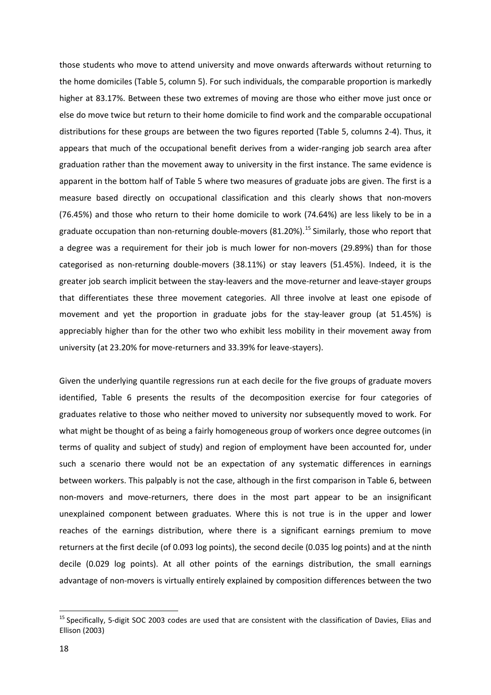those students who move to attend university and move onwards afterwards without returning to the home domiciles (Table 5, column 5). For such individuals, the comparable proportion is markedly higher at 83.17%. Between these two extremes of moving are those who either move just once or else do move twice but return to their home domicile to find work and the comparable occupational distributions for these groups are between the two figures reported (Table 5, columns 2-4). Thus, it appears that much of the occupational benefit derives from a wider-ranging job search area after graduation rather than the movement away to university in the first instance. The same evidence is apparent in the bottom half of Table 5 where two measures of graduate jobs are given. The first is a measure based directly on occupational classification and this clearly shows that non-movers (76.45%) and those who return to their home domicile to work (74.64%) are less likely to be in a graduate occupation than non-returning double-movers (81.20%). [15](#page-19-1) Similarly, those who report that a degree was a requirement for their job is much lower for non-movers (29.89%) than for those categorised as non-returning double-movers (38.11%) or stay leavers (51.45%). Indeed, it is the greater job search implicit between the stay-leavers and the move-returner and leave-stayer groups that differentiates these three movement categories. All three involve at least one episode of movement and yet the proportion in graduate jobs for the stay-leaver group (at 51.45%) is appreciably higher than for the other two who exhibit less mobility in their movement away from university (at 23.20% for move-returners and 33.39% for leave-stayers).

Given the underlying quantile regressions run at each decile for the five groups of graduate movers identified, Table 6 presents the results of the decomposition exercise for four categories of graduates relative to those who neither moved to university nor subsequently moved to work. For what might be thought of as being a fairly homogeneous group of workers once degree outcomes (in terms of quality and subject of study) and region of employment have been accounted for, under such a scenario there would not be an expectation of any systematic differences in earnings between workers. This palpably is not the case, although in the first comparison in Table 6, between non-movers and move-returners, there does in the most part appear to be an insignificant unexplained component between graduates. Where this is not true is in the upper and lower reaches of the earnings distribution, where there is a significant earnings premium to move returners at the first decile (of 0.093 log points), the second decile (0.035 log points) and at the ninth decile (0.029 log points). At all other points of the earnings distribution, the small earnings advantage of non-movers is virtually entirely explained by composition differences between the two

<sup>&</sup>lt;sup>15</sup> Specifically, 5-digit SOC 2003 codes are used that are consistent with the classification of Davies, Elias and Ellison (2003)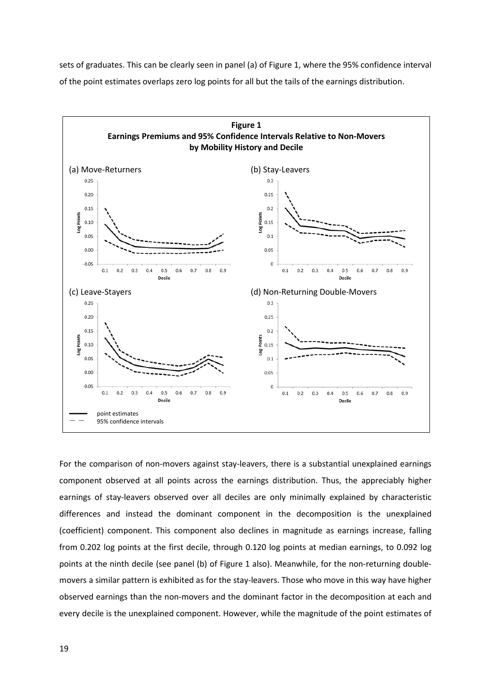sets of graduates. This can be clearly seen in panel (a) of Figure 1, where the 95% confidence interval of the point estimates overlaps zero log points for all but the tails of the earnings distribution.



For the comparison of non-movers against stay-leavers, there is a substantial unexplained earnings component observed at all points across the earnings distribution. Thus, the appreciably higher earnings of stay-leavers observed over all deciles are only minimally explained by characteristic differences and instead the dominant component in the decomposition is the unexplained (coefficient) component. This component also declines in magnitude as earnings increase, falling from 0.202 log points at the first decile, through 0.120 log points at median earnings, to 0.092 log points at the ninth decile (see panel (b) of Figure 1 also). Meanwhile, for the non-returning doublemovers a similar pattern is exhibited as for the stay-leavers. Those who move in this way have higher observed earnings than the non-movers and the dominant factor in the decomposition at each and every decile is the unexplained component. However, while the magnitude of the point estimates of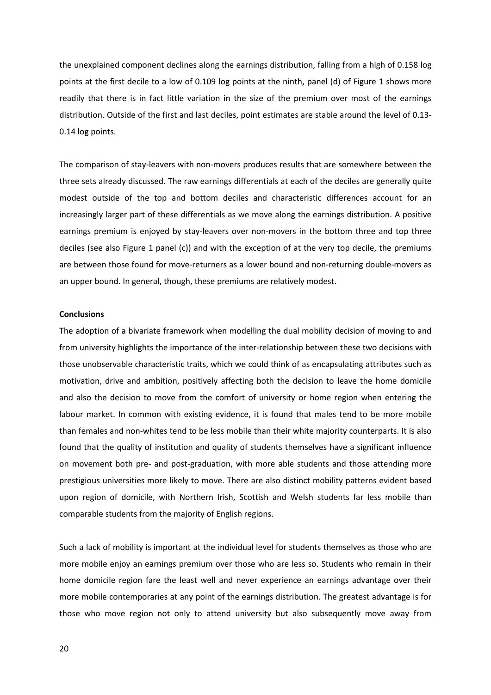the unexplained component declines along the earnings distribution, falling from a high of 0.158 log points at the first decile to a low of 0.109 log points at the ninth, panel (d) of Figure 1 shows more readily that there is in fact little variation in the size of the premium over most of the earnings distribution. Outside of the first and last deciles, point estimates are stable around the level of 0.13- 0.14 log points.

The comparison of stay-leavers with non-movers produces results that are somewhere between the three sets already discussed. The raw earnings differentials at each of the deciles are generally quite modest outside of the top and bottom deciles and characteristic differences account for an increasingly larger part of these differentials as we move along the earnings distribution. A positive earnings premium is enjoyed by stay-leavers over non-movers in the bottom three and top three deciles (see also Figure 1 panel (c)) and with the exception of at the very top decile, the premiums are between those found for move-returners as a lower bound and non-returning double-movers as an upper bound. In general, though, these premiums are relatively modest.

#### **Conclusions**

The adoption of a bivariate framework when modelling the dual mobility decision of moving to and from university highlights the importance of the inter-relationship between these two decisions with those unobservable characteristic traits, which we could think of as encapsulating attributes such as motivation, drive and ambition, positively affecting both the decision to leave the home domicile and also the decision to move from the comfort of university or home region when entering the labour market. In common with existing evidence, it is found that males tend to be more mobile than females and non-whites tend to be less mobile than their white majority counterparts. It is also found that the quality of institution and quality of students themselves have a significant influence on movement both pre- and post-graduation, with more able students and those attending more prestigious universities more likely to move. There are also distinct mobility patterns evident based upon region of domicile, with Northern Irish, Scottish and Welsh students far less mobile than comparable students from the majority of English regions.

Such a lack of mobility is important at the individual level for students themselves as those who are more mobile enjoy an earnings premium over those who are less so. Students who remain in their home domicile region fare the least well and never experience an earnings advantage over their more mobile contemporaries at any point of the earnings distribution. The greatest advantage is for those who move region not only to attend university but also subsequently move away from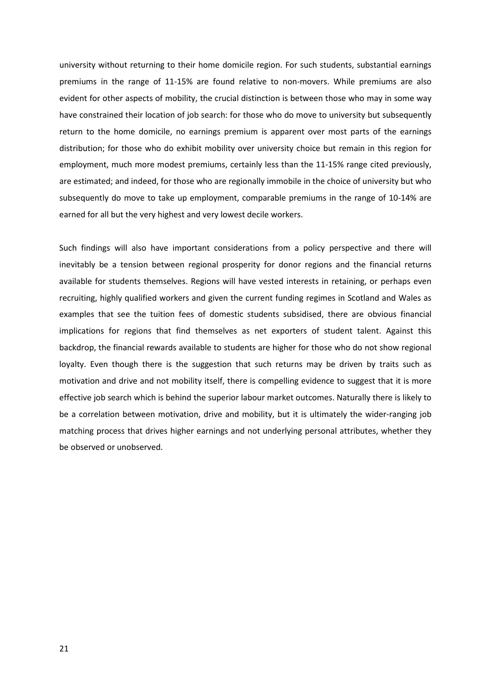university without returning to their home domicile region. For such students, substantial earnings premiums in the range of 11-15% are found relative to non-movers. While premiums are also evident for other aspects of mobility, the crucial distinction is between those who may in some way have constrained their location of job search: for those who do move to university but subsequently return to the home domicile, no earnings premium is apparent over most parts of the earnings distribution; for those who do exhibit mobility over university choice but remain in this region for employment, much more modest premiums, certainly less than the 11-15% range cited previously, are estimated; and indeed, for those who are regionally immobile in the choice of university but who subsequently do move to take up employment, comparable premiums in the range of 10-14% are earned for all but the very highest and very lowest decile workers.

Such findings will also have important considerations from a policy perspective and there will inevitably be a tension between regional prosperity for donor regions and the financial returns available for students themselves. Regions will have vested interests in retaining, or perhaps even recruiting, highly qualified workers and given the current funding regimes in Scotland and Wales as examples that see the tuition fees of domestic students subsidised, there are obvious financial implications for regions that find themselves as net exporters of student talent. Against this backdrop, the financial rewards available to students are higher for those who do not show regional loyalty. Even though there is the suggestion that such returns may be driven by traits such as motivation and drive and not mobility itself, there is compelling evidence to suggest that it is more effective job search which is behind the superior labour market outcomes. Naturally there is likely to be a correlation between motivation, drive and mobility, but it is ultimately the wider-ranging job matching process that drives higher earnings and not underlying personal attributes, whether they be observed or unobserved.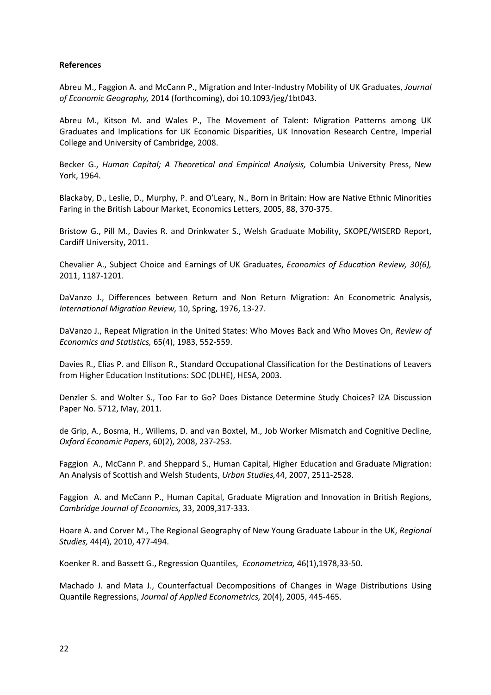#### **References**

Abreu M., Faggion A. and McCann P., Migration and Inter-Industry Mobility of UK Graduates, *Journal of Economic Geography,* 2014 (forthcoming), doi 10.1093/jeg/1bt043.

Abreu M., Kitson M. and Wales P., The Movement of Talent: Migration Patterns among UK Graduates and Implications for UK Economic Disparities, UK Innovation Research Centre, Imperial College and University of Cambridge, 2008.

Becker G., *Human Capital; A Theoretical and Empirical Analysis,* Columbia University Press, New York, 1964.

Blackaby, D., Leslie, D., Murphy, P. and O'Leary, N., Born in Britain: How are Native Ethnic Minorities Faring in the British Labour Market, Economics Letters, 2005, 88, 370-375.

Bristow G., Pill M., Davies R. and Drinkwater S., Welsh Graduate Mobility, SKOPE/WISERD Report, Cardiff University, 2011.

Chevalier A., Subject Choice and Earnings of UK Graduates, *Economics of Education Review, 30(6),* 2011, 1187-1201.

DaVanzo J., Differences between Return and Non Return Migration: An Econometric Analysis, *International Migration Review,* 10, Spring, 1976, 13-27.

DaVanzo J., Repeat Migration in the United States: Who Moves Back and Who Moves On, *Review of Economics and Statistics,* 65(4), 1983, 552-559.

Davies R., Elias P. and Ellison R., Standard Occupational Classification for the Destinations of Leavers from Higher Education Institutions: SOC (DLHE), HESA, 2003.

Denzler S. and Wolter S., Too Far to Go? Does Distance Determine Study Choices? IZA Discussion Paper No. 5712, May, 2011.

de Grip, A., Bosma, H., Willems, D. and van Boxtel, M., Job Worker Mismatch and Cognitive Decline, *Oxford Economic Papers*, 60(2), 2008, 237-253.

Faggion A., McCann P. and Sheppard S., Human Capital, Higher Education and Graduate Migration: An Analysis of Scottish and Welsh Students, *Urban Studies,*44, 2007, 2511-2528.

Faggion A. and McCann P., Human Capital, Graduate Migration and Innovation in British Regions, *Cambridge Journal of Economics,* 33, 2009,317-333.

Hoare A. and Corver M., The Regional Geography of New Young Graduate Labour in the UK, *Regional Studies,* 44(4), 2010, 477-494.

Koenker R. and Bassett G., Regression Quantiles, *Econometrica,* 46(1),1978,33-50.

Machado J. and Mata J., Counterfactual Decompositions of Changes in Wage Distributions Using Quantile Regressions, *Journal of Applied Econometrics,* 20(4), 2005, 445-465.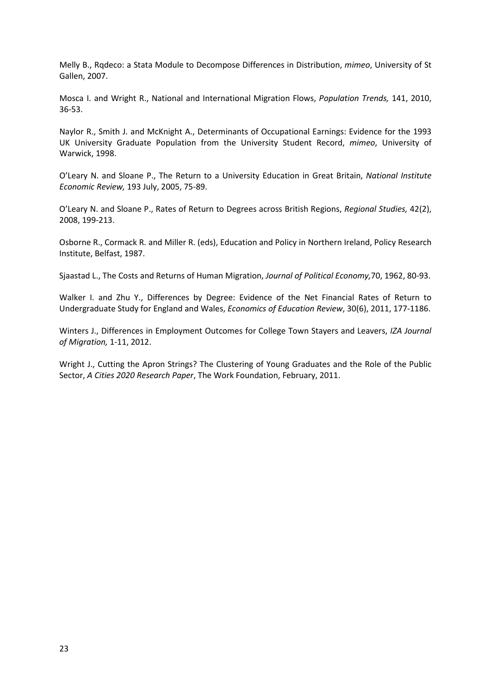Melly B., Rqdeco: a Stata Module to Decompose Differences in Distribution, *mimeo*, University of St Gallen, 2007.

Mosca I. and Wright R., National and International Migration Flows, *Population Trends,* 141, 2010, 36-53.

Naylor R., Smith J. and McKnight A., Determinants of Occupational Earnings: Evidence for the 1993 UK University Graduate Population from the University Student Record, *mimeo*, University of Warwick, 1998.

O'Leary N. and Sloane P., The Return to a University Education in Great Britain, *National Institute Economic Review,* 193 July, 2005, 75-89.

O'Leary N. and Sloane P., Rates of Return to Degrees across British Regions, *Regional Studies,* 42(2), 2008, 199-213.

Osborne R., Cormack R. and Miller R. (eds), Education and Policy in Northern Ireland, Policy Research Institute, Belfast, 1987.

Sjaastad L., The Costs and Returns of Human Migration, *Journal of Political Economy,*70, 1962, 80-93.

Walker I. and Zhu Y., Differences by Degree: Evidence of the Net Financial Rates of Return to Undergraduate Study for England and Wales, *Economics of Education Review*, 30(6), 2011, 177-1186.

Winters J., Differences in Employment Outcomes for College Town Stayers and Leavers, *IZA Journal of Migration,* 1-11, 2012.

Wright J., Cutting the Apron Strings? The Clustering of Young Graduates and the Role of the Public Sector, *A Cities 2020 Research Paper*, The Work Foundation, February, 2011.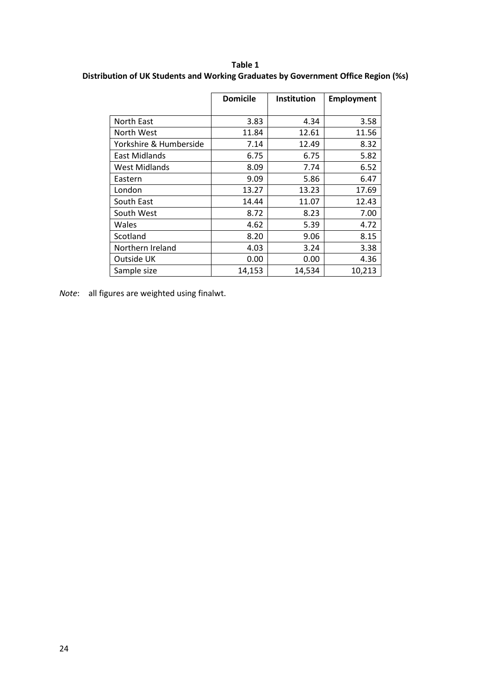**Table 1 Distribution of UK Students and Working Graduates by Government Office Region (%s)**

|                        | <b>Domicile</b> | Institution | <b>Employment</b> |
|------------------------|-----------------|-------------|-------------------|
|                        |                 |             |                   |
| North East             | 3.83            | 4.34        | 3.58              |
| North West             | 11.84           | 12.61       | 11.56             |
| Yorkshire & Humberside | 7.14            | 12.49       | 8.32              |
| East Midlands          | 6.75            | 6.75        | 5.82              |
| <b>West Midlands</b>   | 8.09            | 7.74        | 6.52              |
| Eastern                | 9.09            | 5.86        | 6.47              |
| London                 | 13.27           | 13.23       | 17.69             |
| South East             | 14.44           | 11.07       | 12.43             |
| South West             | 8.72            | 8.23        | 7.00              |
| Wales                  | 4.62            | 5.39        | 4.72              |
| Scotland               | 8.20            | 9.06        | 8.15              |
| Northern Ireland       | 4.03            | 3.24        | 3.38              |
| Outside UK             | 0.00            | 0.00        | 4.36              |
| Sample size            | 14,153          | 14,534      | 10,213            |

*Note*: all figures are weighted using finalwt.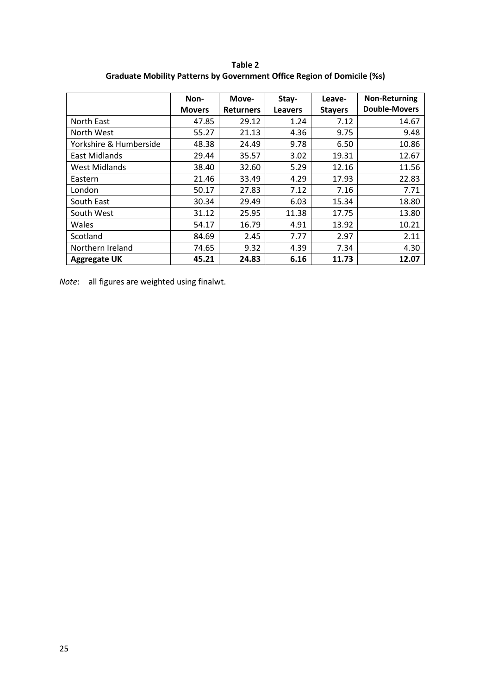**Table 2 Graduate Mobility Patterns by Government Office Region of Domicile (%s)**

|                        | Non-          | Move-            | Stay-          | Leave-         | <b>Non-Returning</b> |
|------------------------|---------------|------------------|----------------|----------------|----------------------|
|                        | <b>Movers</b> | <b>Returners</b> | <b>Leavers</b> | <b>Stayers</b> | <b>Double-Movers</b> |
| North East             | 47.85         | 29.12            | 1.24           | 7.12           | 14.67                |
| North West             | 55.27         | 21.13            | 4.36           | 9.75           | 9.48                 |
| Yorkshire & Humberside | 48.38         | 24.49            | 9.78           | 6.50           | 10.86                |
| East Midlands          | 29.44         | 35.57            | 3.02           | 19.31          | 12.67                |
| <b>West Midlands</b>   | 38.40         | 32.60            | 5.29           | 12.16          | 11.56                |
| Eastern                | 21.46         | 33.49            | 4.29           | 17.93          | 22.83                |
| London                 | 50.17         | 27.83            | 7.12           | 7.16           | 7.71                 |
| South East             | 30.34         | 29.49            | 6.03           | 15.34          | 18.80                |
| South West             | 31.12         | 25.95            | 11.38          | 17.75          | 13.80                |
| Wales                  | 54.17         | 16.79            | 4.91           | 13.92          | 10.21                |
| Scotland               | 84.69         | 2.45             | 7.77           | 2.97           | 2.11                 |
| Northern Ireland       | 74.65         | 9.32             | 4.39           | 7.34           | 4.30                 |
| <b>Aggregate UK</b>    | 45.21         | 24.83            | 6.16           | 11.73          | 12.07                |

*Note*: all figures are weighted using finalwt.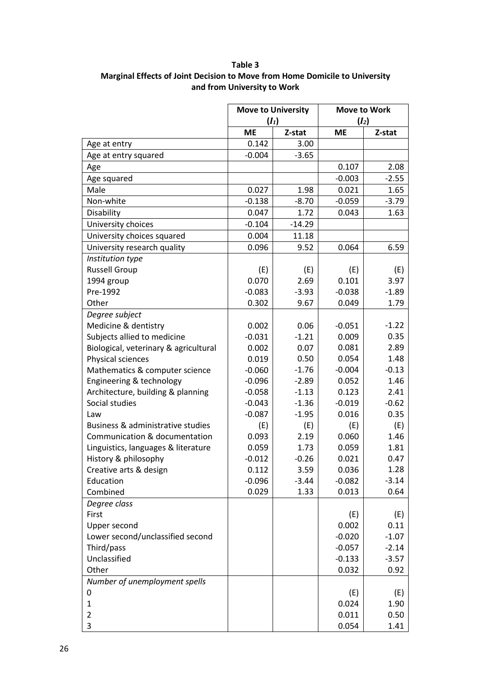### **Table 3 Marginal Effects of Joint Decision to Move from Home Domicile to University and from University to Work**

|                                       | <b>Move to University</b> |          | <b>Move to Work</b> |         |  |
|---------------------------------------|---------------------------|----------|---------------------|---------|--|
|                                       | $(I_1)$                   |          | $(I_2)$             |         |  |
|                                       | <b>ME</b>                 | Z-stat   | <b>ME</b>           | Z-stat  |  |
| Age at entry                          | 0.142                     | 3.00     |                     |         |  |
| Age at entry squared                  | $-0.004$                  | $-3.65$  |                     |         |  |
| Age                                   |                           |          | 0.107               | 2.08    |  |
| Age squared                           |                           |          | $-0.003$            | $-2.55$ |  |
| Male                                  | 0.027                     | 1.98     | 0.021               | 1.65    |  |
| Non-white                             | $-0.138$                  | $-8.70$  | $-0.059$            | $-3.79$ |  |
| Disability                            | 0.047                     | 1.72     | 0.043               | 1.63    |  |
| University choices                    | $-0.104$                  | $-14.29$ |                     |         |  |
| University choices squared            | 0.004                     | 11.18    |                     |         |  |
| University research quality           | 0.096                     | 9.52     | 0.064               | 6.59    |  |
| Institution type                      |                           |          |                     |         |  |
| <b>Russell Group</b>                  | (E)                       | (E)      | (E)                 | (E)     |  |
| 1994 group                            | 0.070                     | 2.69     | 0.101               | 3.97    |  |
| Pre-1992                              | $-0.083$                  | $-3.93$  | $-0.038$            | $-1.89$ |  |
| Other                                 | 0.302                     | 9.67     | 0.049               | 1.79    |  |
| Degree subject                        |                           |          |                     |         |  |
| Medicine & dentistry                  | 0.002                     | 0.06     | $-0.051$            | $-1.22$ |  |
| Subjects allied to medicine           | $-0.031$                  | $-1.21$  | 0.009               | 0.35    |  |
| Biological, veterinary & agricultural | 0.002                     | 0.07     | 0.081               | 2.89    |  |
| Physical sciences                     | 0.019                     | 0.50     | 0.054               | 1.48    |  |
| Mathematics & computer science        | $-0.060$                  | $-1.76$  | $-0.004$            | $-0.13$ |  |
| Engineering & technology              | $-0.096$                  | $-2.89$  | 0.052               | 1.46    |  |
| Architecture, building & planning     | $-0.058$                  | $-1.13$  | 0.123               | 2.41    |  |
| Social studies                        | $-0.043$                  | $-1.36$  | $-0.019$            | $-0.62$ |  |
| Law                                   | $-0.087$                  | $-1.95$  | 0.016               | 0.35    |  |
| Business & administrative studies     | (E)                       | (E)      | (E)                 | (E)     |  |
| Communication & documentation         | 0.093                     | 2.19     | 0.060               | 1.46    |  |
| Linguistics, languages & literature   | 0.059                     | 1.73     | 0.059               | 1.81    |  |
| History & philosophy                  | $-0.012$                  | $-0.26$  | 0.021               | 0.47    |  |
| Creative arts & design                | 0.112                     | 3.59     | 0.036               | 1.28    |  |
| Education                             | $-0.096$                  | $-3.44$  | $-0.082$            | $-3.14$ |  |
| Combined                              | 0.029                     | 1.33     | 0.013               | 0.64    |  |
| Degree class                          |                           |          |                     |         |  |
| First                                 |                           |          | (E)                 | (E)     |  |
| Upper second                          |                           |          | 0.002               | 0.11    |  |
| Lower second/unclassified second      |                           |          | $-0.020$            | $-1.07$ |  |
| Third/pass                            |                           |          | $-0.057$            | $-2.14$ |  |
| Unclassified                          |                           |          | $-0.133$            | $-3.57$ |  |
| Other                                 |                           |          | 0.032               | 0.92    |  |
| Number of unemployment spells         |                           |          |                     |         |  |
| 0                                     |                           |          | (E)                 | (E)     |  |
| $\mathbf{1}$                          |                           |          | 0.024               | 1.90    |  |
| 2                                     |                           |          | 0.011               | 0.50    |  |
| 3                                     |                           |          | 0.054               | 1.41    |  |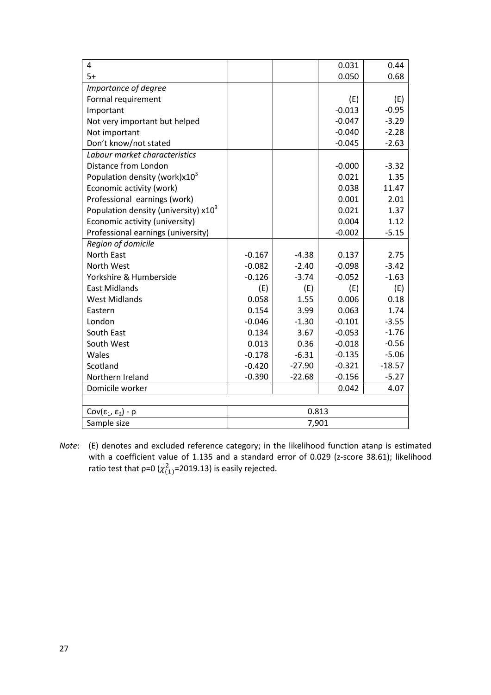| 4                                         |          |          | 0.031    | 0.44     |  |  |  |  |
|-------------------------------------------|----------|----------|----------|----------|--|--|--|--|
| $5+$                                      |          |          | 0.050    | 0.68     |  |  |  |  |
| Importance of degree                      |          |          |          |          |  |  |  |  |
| Formal requirement                        |          |          | (E)      | (E)      |  |  |  |  |
| Important                                 |          |          | $-0.013$ | $-0.95$  |  |  |  |  |
| Not very important but helped             |          |          | $-0.047$ | $-3.29$  |  |  |  |  |
| Not important                             |          |          | $-0.040$ | $-2.28$  |  |  |  |  |
| Don't know/not stated                     |          |          | $-0.045$ | $-2.63$  |  |  |  |  |
| Labour market characteristics             |          |          |          |          |  |  |  |  |
| Distance from London                      |          |          | $-0.000$ | $-3.32$  |  |  |  |  |
| Population density (work) $x10^3$         |          |          | 0.021    | 1.35     |  |  |  |  |
| Economic activity (work)                  |          |          | 0.038    | 11.47    |  |  |  |  |
| Professional earnings (work)              |          |          | 0.001    | 2.01     |  |  |  |  |
| Population density (university) $x10^3$   |          |          | 0.021    | 1.37     |  |  |  |  |
| Economic activity (university)            |          |          | 0.004    | 1.12     |  |  |  |  |
| Professional earnings (university)        |          |          | $-0.002$ | $-5.15$  |  |  |  |  |
| Region of domicile                        |          |          |          |          |  |  |  |  |
| <b>North East</b>                         | $-0.167$ | $-4.38$  | 0.137    | 2.75     |  |  |  |  |
| North West                                | $-0.082$ | $-2.40$  | $-0.098$ | $-3.42$  |  |  |  |  |
| Yorkshire & Humberside                    | $-0.126$ | $-3.74$  | $-0.052$ | $-1.63$  |  |  |  |  |
| <b>East Midlands</b>                      | (E)      | (E)      | (E)      | (E)      |  |  |  |  |
| <b>West Midlands</b>                      | 0.058    | 1.55     | 0.006    | 0.18     |  |  |  |  |
| Eastern                                   | 0.154    | 3.99     | 0.063    | 1.74     |  |  |  |  |
| London                                    | $-0.046$ | $-1.30$  | $-0.101$ | $-3.55$  |  |  |  |  |
| South East                                | 0.134    | 3.67     | $-0.053$ | $-1.76$  |  |  |  |  |
| South West                                | 0.013    | 0.36     | $-0.018$ | $-0.56$  |  |  |  |  |
| Wales                                     | $-0.178$ | $-6.31$  | $-0.135$ | $-5.06$  |  |  |  |  |
| Scotland                                  | $-0.420$ | $-27.90$ | $-0.321$ | $-18.57$ |  |  |  |  |
| Northern Ireland                          | $-0.390$ | $-22.68$ | $-0.156$ | $-5.27$  |  |  |  |  |
| Domicile worker                           |          |          | 0.042    | 4.07     |  |  |  |  |
|                                           |          |          |          |          |  |  |  |  |
| Cov(ε <sub>1</sub> , ε <sub>2</sub> ) - ρ | 0.813    |          |          |          |  |  |  |  |
| Sample size                               | 7,901    |          |          |          |  |  |  |  |

*Note*: (E) denotes and excluded reference category; in the likelihood function atanρ is estimated with a coefficient value of 1.135 and a standard error of 0.029 (z-score 38.61); likelihood ratio test that  $\rho$ =0 ( $\chi^2_{(1)}$ =2019.13) is easily rejected.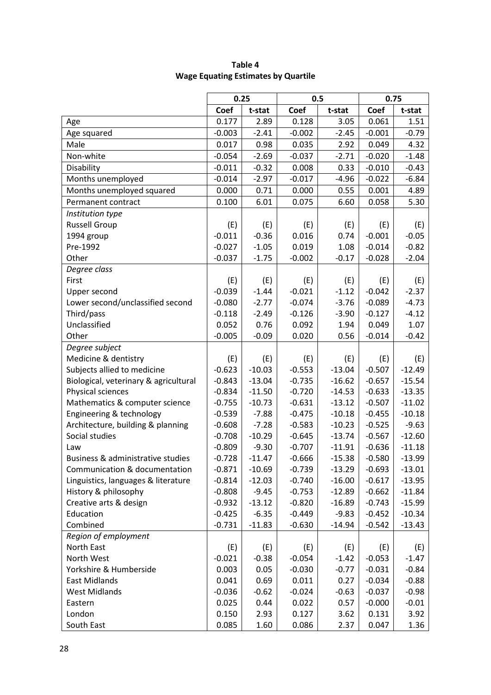|                                       | 0.25     |          | 0.5      |          | 0.75     |          |  |
|---------------------------------------|----------|----------|----------|----------|----------|----------|--|
|                                       | Coef     | t-stat   | Coef     | t-stat   | Coef     | t-stat   |  |
| Age                                   | 0.177    | 2.89     | 0.128    | 3.05     | 0.061    | 1.51     |  |
| Age squared                           | $-0.003$ | $-2.41$  | $-0.002$ | $-2.45$  | $-0.001$ | $-0.79$  |  |
| Male                                  | 0.017    | 0.98     | 0.035    | 2.92     | 0.049    | 4.32     |  |
| Non-white                             | $-0.054$ | $-2.69$  | $-0.037$ | $-2.71$  | $-0.020$ | $-1.48$  |  |
| Disability                            | $-0.011$ | $-0.32$  | 0.008    | 0.33     | $-0.010$ | $-0.43$  |  |
| Months unemployed                     | $-0.014$ | $-2.97$  | $-0.017$ | $-4.96$  | $-0.022$ | $-6.84$  |  |
| Months unemployed squared             | 0.000    | 0.71     | 0.000    | 0.55     | 0.001    | 4.89     |  |
| Permanent contract                    | 0.100    | 6.01     | 0.075    | 6.60     | 0.058    | 5.30     |  |
| Institution type                      |          |          |          |          |          |          |  |
| <b>Russell Group</b>                  | (E)      | (E)      | (E)      | (E)      | (E)      | (E)      |  |
| 1994 group                            | $-0.011$ | $-0.36$  | 0.016    | 0.74     | $-0.001$ | $-0.05$  |  |
| Pre-1992                              | $-0.027$ | $-1.05$  | 0.019    | 1.08     | $-0.014$ | $-0.82$  |  |
| Other                                 | $-0.037$ | $-1.75$  | $-0.002$ | $-0.17$  | $-0.028$ | $-2.04$  |  |
| Degree class                          |          |          |          |          |          |          |  |
| First                                 | (E)      | (E)      | (E)      | (E)      | (E)      | (E)      |  |
| Upper second                          | $-0.039$ | $-1.44$  | $-0.021$ | $-1.12$  | $-0.042$ | $-2.37$  |  |
| Lower second/unclassified second      | $-0.080$ | $-2.77$  | $-0.074$ | $-3.76$  | $-0.089$ | $-4.73$  |  |
| Third/pass                            | $-0.118$ | $-2.49$  | $-0.126$ | $-3.90$  | $-0.127$ | $-4.12$  |  |
| Unclassified                          | 0.052    | 0.76     | 0.092    | 1.94     | 0.049    | 1.07     |  |
| Other                                 | $-0.005$ | $-0.09$  | 0.020    | 0.56     | $-0.014$ | $-0.42$  |  |
| Degree subject                        |          |          |          |          |          |          |  |
| Medicine & dentistry                  | (E)      | (E)      | (E)      | (E)      | (E)      | (E)      |  |
| Subjects allied to medicine           | $-0.623$ | $-10.03$ | $-0.553$ | $-13.04$ | $-0.507$ | $-12.49$ |  |
| Biological, veterinary & agricultural | $-0.843$ | $-13.04$ | $-0.735$ | $-16.62$ | $-0.657$ | $-15.54$ |  |
| Physical sciences                     | $-0.834$ | $-11.50$ | $-0.720$ | $-14.53$ | $-0.633$ | $-13.35$ |  |
| Mathematics & computer science        | $-0.755$ | $-10.73$ | $-0.631$ | $-13.12$ | $-0.507$ | $-11.02$ |  |
| Engineering & technology              | $-0.539$ | $-7.88$  | $-0.475$ | $-10.18$ | $-0.455$ | $-10.18$ |  |
| Architecture, building & planning     | $-0.608$ | $-7.28$  | $-0.583$ | $-10.23$ | $-0.525$ | $-9.63$  |  |
| Social studies                        | $-0.708$ | $-10.29$ | $-0.645$ | $-13.74$ | $-0.567$ | $-12.60$ |  |
| Law                                   | $-0.809$ | $-9.30$  | $-0.707$ | $-11.91$ | $-0.636$ | $-11.18$ |  |
| Business & administrative studies     | $-0.728$ | $-11.47$ | $-0.666$ | $-15.38$ | $-0.580$ | $-13.99$ |  |
| Communication & documentation         | $-0.871$ | $-10.69$ | $-0.739$ | $-13.29$ | $-0.693$ | $-13.01$ |  |
| Linguistics, languages & literature   | $-0.814$ | $-12.03$ | $-0.740$ | $-16.00$ | $-0.617$ | $-13.95$ |  |
| History & philosophy                  | $-0.808$ | $-9.45$  | $-0.753$ | $-12.89$ | $-0.662$ | $-11.84$ |  |
| Creative arts & design                | $-0.932$ | $-13.12$ | $-0.820$ | $-16.89$ | $-0.743$ | $-15.99$ |  |
| Education                             | $-0.425$ | $-6.35$  | $-0.449$ | $-9.83$  | $-0.452$ | $-10.34$ |  |
| Combined                              | $-0.731$ | $-11.83$ | $-0.630$ | $-14.94$ | $-0.542$ | $-13.43$ |  |
| Region of employment                  |          |          |          |          |          |          |  |
| North East                            | (E)      | (E)      | (E)      | (E)      | (E)      | (E)      |  |
| North West                            | $-0.021$ | $-0.38$  | $-0.054$ | $-1.42$  | $-0.053$ | $-1.47$  |  |
| Yorkshire & Humberside                | 0.003    | 0.05     | $-0.030$ | $-0.77$  | $-0.031$ | $-0.84$  |  |
| East Midlands                         | 0.041    | 0.69     | 0.011    | 0.27     | $-0.034$ | $-0.88$  |  |
| <b>West Midlands</b>                  | $-0.036$ | $-0.62$  | $-0.024$ | $-0.63$  | $-0.037$ | $-0.98$  |  |
| Eastern                               | 0.025    | 0.44     | 0.022    | 0.57     | $-0.000$ | $-0.01$  |  |
| London                                | 0.150    | 2.93     | 0.127    | 3.62     | 0.131    | 3.92     |  |
| South East                            | 0.085    | 1.60     | 0.086    | 2.37     | 0.047    | 1.36     |  |

### **Table 4 Wage Equating Estimates by Quartile**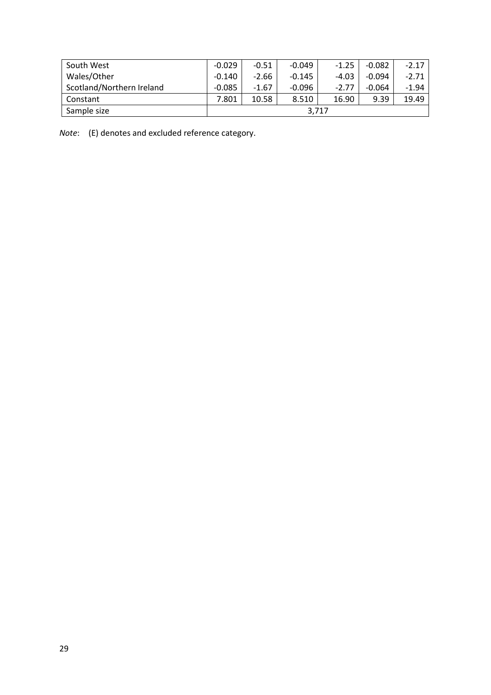| South West                | $-0.029$ | $-0.51$ | $-0.049$ | $-1.25$ | $-0.082$ | $-2.17$ |
|---------------------------|----------|---------|----------|---------|----------|---------|
| Wales/Other               | $-0.140$ | $-2.66$ | $-0.145$ | $-4.03$ | $-0.094$ | $-2.71$ |
| Scotland/Northern Ireland | $-0.085$ | $-1.67$ | $-0.096$ | $-2.77$ | $-0.064$ | $-1.94$ |
| Constant                  | 7.801    | 10.58   | 8.510    | 16.90   | 9.39     | 19.49   |
| Sample size               | 3.717    |         |          |         |          |         |

*Note*: (E) denotes and excluded reference category.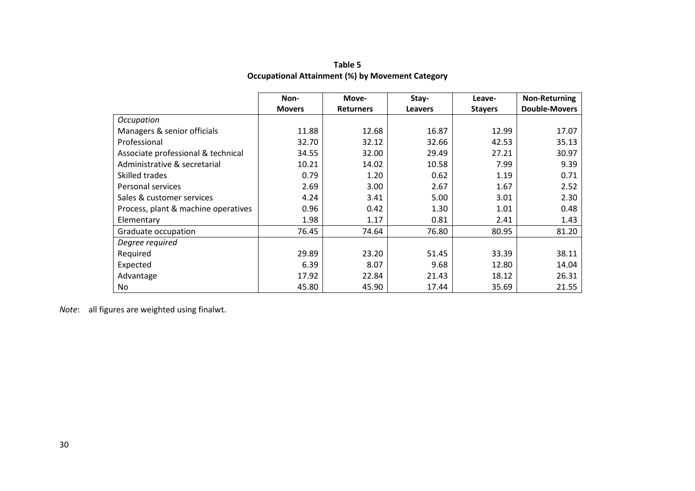|                                     | Non-          | Move-            | Stay-          | Leave-         | <b>Non-Returning</b> |
|-------------------------------------|---------------|------------------|----------------|----------------|----------------------|
|                                     | <b>Movers</b> | <b>Returners</b> | <b>Leavers</b> | <b>Stavers</b> | <b>Double-Movers</b> |
| Occupation                          |               |                  |                |                |                      |
| Managers & senior officials         | 11.88         | 12.68            | 16.87          | 12.99          | 17.07                |
| Professional                        | 32.70         | 32.12            | 32.66          | 42.53          | 35.13                |
| Associate professional & technical  | 34.55         | 32.00            | 29.49          | 27.21          | 30.97                |
| Administrative & secretarial        | 10.21         | 14.02            | 10.58          | 7.99           | 9.39                 |
| Skilled trades                      | 0.79          | 1.20             | 0.62           | 1.19           | 0.71                 |
| Personal services                   | 2.69          | 3.00             | 2.67           | 1.67           | 2.52                 |
| Sales & customer services           | 4.24          | 3.41             | 5.00           | 3.01           | 2.30                 |
| Process, plant & machine operatives | 0.96          | 0.42             | 1.30           | 1.01           | 0.48                 |
| Elementary                          | 1.98          | 1.17             | 0.81           | 2.41           | 1.43                 |
| Graduate occupation                 | 76.45         | 74.64            | 76.80          | 80.95          | 81.20                |
| Degree required                     |               |                  |                |                |                      |
| Required                            | 29.89         | 23.20            | 51.45          | 33.39          | 38.11                |
| Expected                            | 6.39          | 8.07             | 9.68           | 12.80          | 14.04                |
| Advantage                           | 17.92         | 22.84            | 21.43          | 18.12          | 26.31                |
| No                                  | 45.80         | 45.90            | 17.44          | 35.69          | 21.55                |

**Table 5 Occupational Attainment (%) by Movement Category**

*Note*: all figures are weighted using finalwt.